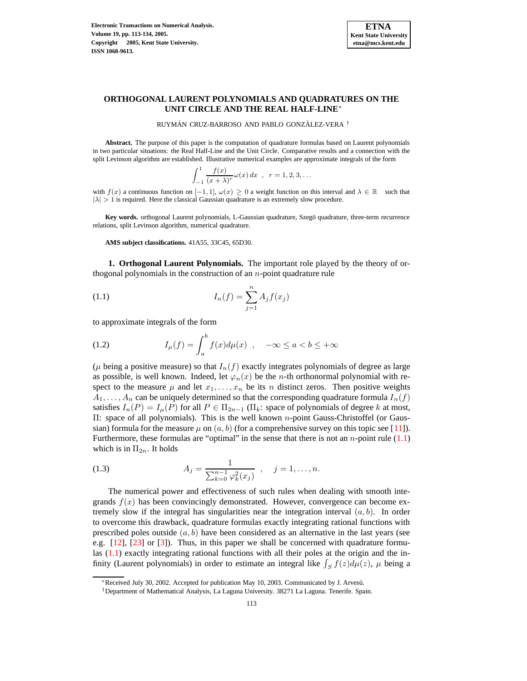

## **ORTHOGONAL LAURENT POLYNOMIALS AND QUADRATURES ON THE UNIT CIRCLE AND THE REAL HALF-LINE**∗

RUYMÁN CRUZ-BARROSO AND PABLO GONZÁLEZ-VERA <sup>†</sup>

**Abstract.** The purpose of this paper is the computation of quadrature formulas based on Laurent polynomials in two particular situations: the Real Half-Line and the Unit Circle. Comparative results and a connection with the split Levinson algorithm are established. Illustrative numerical examples are approximate integrals of the form

<span id="page-0-0"></span>
$$
\int_{-1}^{1} \frac{f(x)}{(x+\lambda)^r} \omega(x) dx , r = 1, 2, 3, ...
$$

with  $f(x)$  a continuous function on  $[-1, 1]$ ,  $\omega(x) \ge 0$  a weight function on this interval and  $\lambda \in \mathbb{R}$  such that  $|\lambda| > 1$  is required. Here the classical Gaussian quadrature is an extremely slow procedure.

Key words. orthogonal Laurent polynomials, L-Gaussian quadrature, Szegö quadrature, three-term recurrence relations, split Levinson algorithm, numerical quadrature.

**AMS subject classifications.** 41A55, 33C45, 65D30.

**1. Orthogonal Laurent Polynomials.** The important role played by the theory of orthogonal polynomials in the construction of an  $n$ -point quadrature rule

(1.1) 
$$
I_n(f) = \sum_{j=1}^n A_j f(x_j)
$$

to approximate integrals of the form

(1.2) 
$$
I_{\mu}(f) = \int_{a}^{b} f(x) d\mu(x) , \quad -\infty \le a < b \le +\infty
$$

( $\mu$  being a positive measure) so that  $I_n(f)$  exactly integrates polynomials of degree as large as possible, is well known. Indeed, let  $\varphi_n(x)$  be the *n*-th orthonormal polynomial with respect to the measure  $\mu$  and let  $x_1, \ldots, x_n$  be its n distinct zeros. Then positive weights  $A_1, \ldots, A_n$  can be uniquely determined so that the corresponding quadrature formula  $I_n(f)$ satisfies  $I_n(P) = I_\mu(P)$  for all  $P \in \Pi_{2n-1}(\Pi_k)$ : space of polynomials of degree k at most, Π: space of all polynomials). This is the well known n-point Gauss-Christoffel (or Gaussian) formula for the measure  $\mu$  on  $(a, b)$  (for a comprehensive survey on this topic see [\[11\]](#page-21-0)). Furthermore, these formulas are "optimal" in the sense that there is not an  $n$ -point rule  $(1.1)$ which is in  $\Pi_{2n}$ . It holds

(1.3) 
$$
A_j = \frac{1}{\sum_{k=0}^{n-1} \varphi_k^2(x_j)}, \quad j = 1, ..., n.
$$

The numerical power and effectiveness of such rules when dealing with smooth integrands  $f(x)$  has been convincingly demonstrated. However, convergence can become extremely slow if the integral has singularities near the integration interval  $(a, b)$ . In order to overcome this drawback, quadrature formulas exactly integrating rational functions with prescribed poles outside  $(a, b)$  have been considered as an alternative in the last years (see e.g. [\[12\]](#page-21-1), [\[23\]](#page-21-2) or [\[3\]](#page-20-0)). Thus, in this paper we shall be concerned with quadrature formulas [\(1.1\)](#page-0-0) exactly integrating rational functions with all their poles at the origin and the infinity (Laurent polynomials) in order to estimate an integral like  $\int_S f(z) d\mu(z)$ ,  $\mu$  being a

<sup>∗</sup>Received July 30, 2002. Accepted for publication May 10, 2003. Communicated by J. Arvesu.´

<sup>†</sup>Department of Mathematical Analysis, La Laguna University. 38271 La Laguna. Tenerife. Spain.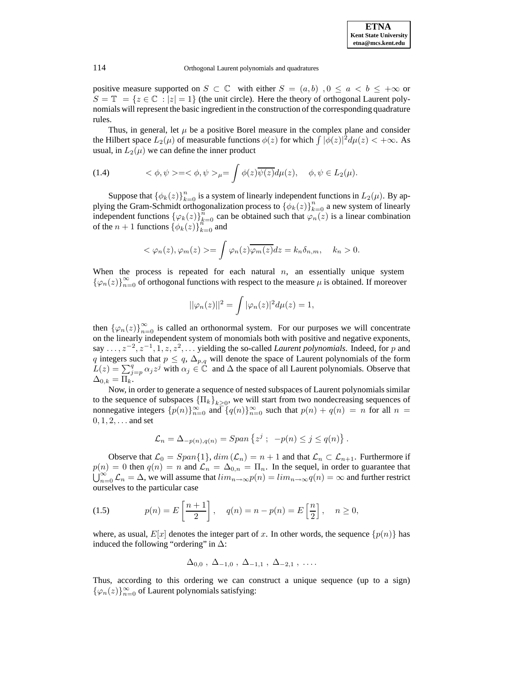positive measure supported on  $S \subset \mathbb{C}$  with either  $S = (a, b)$ ,  $0 \le a < b \le +\infty$  or  $S = \mathbb{T} = \{z \in \mathbb{C} : |z| = 1\}$  (the unit circle). Here the theory of orthogonal Laurent polynomials will represent the basic ingredient in the construction of the corresponding quadrature rules.

Thus, in general, let  $\mu$  be a positive Borel measure in the complex plane and consider the Hilbert space  $L_2(\mu)$  of measurable functions  $\phi(z)$  for which  $\int |\phi(z)|^2 d\mu(z) < +\infty$ . As usual, in  $L_2(\mu)$  we can define the inner product

(1.4) 
$$
\langle \phi, \psi \rangle = \langle \phi, \psi \rangle = \int \phi(z) \overline{\psi(z)} d\mu(z), \quad \phi, \psi \in L_2(\mu).
$$

Suppose that  $\{\phi_k(z)\}_{k=0}^n$  is a system of linearly independent functions in  $L_2(\mu)$ . By applying the Gram-Schmidt orthogonalization process to  $\{\phi_k(z)\}_{k=0}^n$  a new system of linearly independent functions  $\{\varphi_k(z)\}_{k=0}^n$  can be obtained such that  $\varphi_n(z)$  is a linear combination of the  $n+1$  functions  $\{\phi_k(z)\}_{k=0}^{n}\$  and

$$
<\varphi_n(z), \varphi_m(z)> = \int \varphi_n(z) \overline{\varphi_m(z)} dz = k_n \delta_{n,m}, \quad k_n > 0.
$$

When the process is repeated for each natural  $n$ , an essentially unique system  $\{\varphi_n(z)\}_{n=0}^{\infty}$  of orthogonal functions with respect to the measure  $\mu$  is obtained. If moreover

$$
||\varphi_n(z)||^2 = \int |\varphi_n(z)|^2 d\mu(z) = 1,
$$

then  ${\varphi_n(z)}_{n=0}^{\infty}$  is called an orthonormal system. For our purposes we will concentrate on the linearly independent system of monomials both with positive and negative exponents, say  $\ldots$ ,  $z^{-2}$ ,  $z^{-1}$ , 1, z,  $z^2$ ,  $\ldots$  yielding the so-called *Laurent polynomials*. Indeed, for p and q integers such that  $p \le q$ ,  $\Delta_{p,q}$  will denote the space of Laurent polynomials of the form  $L(z) = \sum_{j=p}^{q} \alpha_j z^j$  with  $\alpha_j \in \mathbb{C}$  and  $\Delta$  the space of all Laurent polynomials. Observe that  $\Delta_{0,k} = \Pi_k.$ 

Now, in order to generate a sequence of nested subspaces of Laurent polynomials similar to the sequence of subspaces  ${\{\Pi_k\}}_{k\geq 0}$ , we will start from two nondecreasing sequences of nonnegative integers  $\{p(n)\}_{n=0}^{\infty}$  and  $\{q(n)\}_{n=0}^{\infty}$  such that  $p(n) + q(n) = n$  for all  $n =$  $0, 1, 2, \ldots$  and set

$$
\mathcal{L}_n = \Delta_{-p(n),q(n)} = Span\left\{z^j ; -p(n) \le j \le q(n)\right\}.
$$

Observe that  $\mathcal{L}_0 = Span\{1\}$ ,  $dim(\mathcal{L}_n) = n+1$  and that  $\mathcal{L}_n \subset \mathcal{L}_{n+1}$ . Furthermore if  $p(n) = 0$  then  $q(n) = n$  and  $\mathcal{L}_n = \Delta_{0,n} = \Pi_n$ . In the sequel, in order to guarantee that  $\bigcup_{n=0}^{\infty} \mathcal{L}_n = \Delta$ , we will assume that  $\lim_{n\to\infty} p(n) = \lim_{n\to\infty} q(n) = \infty$  and further restrict ourselves to the particular case

(1.5) 
$$
p(n) = E\left[\frac{n+1}{2}\right], \quad q(n) = n - p(n) = E\left[\frac{n}{2}\right], \quad n \ge 0,
$$

where, as usual,  $E[x]$  denotes the integer part of x. In other words, the sequence  $\{p(n)\}\$ has induced the following "ordering" in  $\Delta$ :

$$
\Delta_{0,0}
$$
,  $\Delta_{-1,0}$ ,  $\Delta_{-1,1}$ ,  $\Delta_{-2,1}$ , ...

Thus, according to this ordering we can construct a unique sequence (up to a sign)  $\{\varphi_n(z)\}_{n=0}^{\infty}$  of Laurent polynomials satisfying: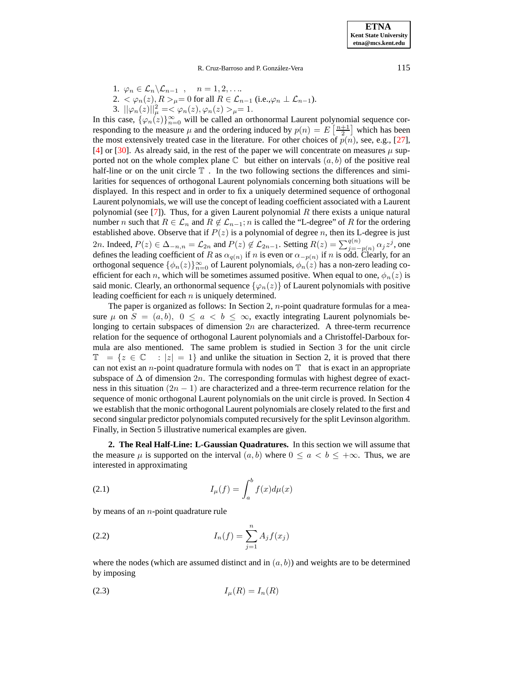**ETNA Kent State University etna@mcs.kent.edu**

R. Cruz-Barroso and P. González-Vera 115

1.  $\varphi_n \in \mathcal{L}_n \backslash \mathcal{L}_{n-1}$ ,  $n = 1, 2, \ldots$ 

2.  $\lt \varphi_n(z), R > \mu = 0$  for all  $R \in \mathcal{L}_{n-1}$  (i.e.,  $\varphi_n \perp \mathcal{L}_{n-1}$ ).

3.  $\|\varphi_n(z)\|_{\mu}^2 = \langle \varphi_n(z), \varphi_n(z) \rangle_{\mu} = 1.$ 

In this case,  $\{\varphi_n(z)\}_{n=0}^{\infty}$  will be called an orthonormal Laurent polynomial sequence corresponding to the measure  $\mu$  and the ordering induced by  $p(n) = E\left[\frac{n+1}{2}\right]$  which has been the most extensively treated case in the literature. For other choices of  $p(n)$ , see, e.g., [\[27\]](#page-21-3), [\[4\]](#page-21-4) or [\[30\]](#page-21-5). As already said, in the rest of the paper we will concentrate on measures  $\mu$  supported not on the whole complex plane  $\mathbb C$  but either on intervals  $(a, b)$  of the positive real half-line or on the unit circle  $\mathbb T$ . In the two following sections the differences and similarities for sequences of orthogonal Laurent polynomials concerning both situations will be displayed. In this respect and in order to fix a uniquely determined sequence of orthogonal Laurent polynomials, we will use the concept of leading coefficient associated with a Laurent polynomial (see [\[7\]](#page-21-6)). Thus, for a given Laurent polynomial R there exists a unique natural number *n* such that  $R \in \mathcal{L}_n$  and  $R \notin \mathcal{L}_{n-1}$ ; *n* is called the "L-degree" of *R* for the ordering established above. Observe that if  $P(z)$  is a polynomial of degree n, then its L-degree is just 2n. Indeed,  $P(z) \in \Delta_{-n,n} = \mathcal{L}_{2n}$  and  $P(z) \notin \mathcal{L}_{2n-1}$ . Setting  $R(z) = \sum_{j=-p(n)}^{q(n)} \alpha_j z^j$ , one defines the leading coefficient of R as  $\alpha_{q(n)}$  if n is even or  $\alpha_{-p(n)}$  if n is odd. Clearly, for an orthogonal sequence  $\{\phi_n(z)\}_{n=0}^{\infty}$  of Laurent polynomials,  $\phi_n(z)$  has a non-zero leading coefficient for each n, which will be sometimes assumed positive. When equal to one,  $\phi_n(z)$  is said monic. Clearly, an orthonormal sequence  $\{\varphi_n(z)\}\$  of Laurent polynomials with positive leading coefficient for each  $n$  is uniquely determined.

The paper is organized as follows: In Section 2, *n*-point quadrature formulas for a measure  $\mu$  on  $S = (a, b), 0 \le a < b \le \infty$ , exactly integrating Laurent polynomials belonging to certain subspaces of dimension  $2n$  are characterized. A three-term recurrence relation for the sequence of orthogonal Laurent polynomials and a Christoffel-Darboux formula are also mentioned. The same problem is studied in Section 3 for the unit circle  $\mathbb{T} = \{z \in \mathbb{C} : |z| = 1\}$  and unlike the situation in Section 2, it is proved that there can not exist an *n*-point quadrature formula with nodes on  $\mathbb T$  that is exact in an appropriate subspace of  $\Delta$  of dimension 2n. The corresponding formulas with highest degree of exactness in this situation  $(2n - 1)$  are characterized and a three-term recurrence relation for the sequence of monic orthogonal Laurent polynomials on the unit circle is proved. In Section 4 we establish that the monic orthogonal Laurent polynomials are closely related to the first and second singular predictor polynomials computed recursively for the split Levinson algorithm. Finally, in Section 5 illustrative numerical examples are given.

**2. The Real Half-Line: L-Gaussian Quadratures.** In this section we will assume that the measure  $\mu$  is supported on the interval  $(a, b)$  where  $0 \le a < b \le +\infty$ . Thus, we are interested in approximating

$$
(2.1)\qquad \qquad I_{\mu}(f) = \int_{a}^{b} f(x)d\mu(x)
$$

<span id="page-2-0"></span>by means of an  $n$ -point quadrature rule

(2.2) 
$$
I_n(f) = \sum_{j=1}^n A_j f(x_j)
$$

where the nodes (which are assumed distinct and in  $(a, b)$ ) and weights are to be determined by imposing

$$
(2.3) \t\t I_{\mu}(R) = I_n(R)
$$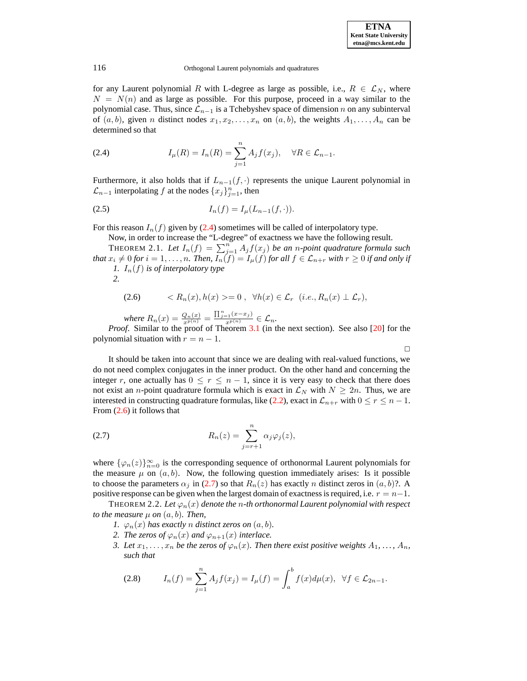$\Box$ 

#### 116 Orthogonal Laurent polynomials and quadratures

for any Laurent polynomial R with L-degree as large as possible, i.e.,  $R \in \mathcal{L}_N$ , where  $N = N(n)$  and as large as possible. For this purpose, proceed in a way similar to the polynomial case. Thus, since  $\mathcal{L}_{n-1}$  is a Tchebyshev space of dimension n on any subinterval of  $(a, b)$ , given n distinct nodes  $x_1, x_2, \ldots, x_n$  on  $(a, b)$ , the weights  $A_1, \ldots, A_n$  can be determined so that

<span id="page-3-0"></span>(2.4) 
$$
I_{\mu}(R) = I_n(R) = \sum_{j=1}^n A_j f(x_j), \quad \forall R \in \mathcal{L}_{n-1}.
$$

Furthermore, it also holds that if  $L_{n-1}(f, \cdot)$  represents the unique Laurent polynomial in  $\mathcal{L}_{n-1}$  interpolating f at the nodes  $\{x_j\}_{j=1}^n$ , then

(2.5) 
$$
I_n(f) = I_\mu(L_{n-1}(f, \cdot)).
$$

<span id="page-3-4"></span>For this reason  $I_n(f)$  given by [\(2.4\)](#page-3-0) sometimes will be called of interpolatory type.

<span id="page-3-1"></span>Now, in order to increase the "L-degree" of exactness we have the following result. THEOREM 2.1. Let  $I_n(f) = \sum_{j=1}^n A_j f(x_j)$  be an *n*-point quadrature formula such *that*  $x_i \neq 0$  *for*  $i = 1, ..., n$ *. Then,*  $I_n(f) = I_\mu(f)$  *for all*  $f \in \mathcal{L}_{n+r}$  *with*  $r \geq 0$  *if and only if 1.*  $I_n(f)$  *is of interpolatory type* 

*2.*

$$
(2.6) \t < R_n(x), h(x) > = 0, \ \forall h(x) \in \mathcal{L}_r \ (i.e., R_n(x) \perp \mathcal{L}_r),
$$

*where*  $R_n(x) = \frac{Q_n(x)}{x^{p(n)}} = \frac{\prod_{j=1}^{n} (x - x_j)}{x^{p(n)}} \in \mathcal{L}_n$ .

*Proof.* Similar to the proof of Theorem [3.1](#page-5-0) (in the next section). See also [\[20\]](#page-21-7) for the polynomial situation with  $r = n - 1$ .

It should be taken into account that since we are dealing with real-valued functions, we do not need complex conjugates in the inner product. On the other hand and concerning the integer r, one actually has  $0 \le r \le n - 1$ , since it is very easy to check that there does not exist an *n*-point quadrature formula which is exact in  $\mathcal{L}_N$  with  $N \geq 2n$ . Thus, we are interested in constructing quadrature formulas, like [\(2.2\)](#page-2-0), exact in  $\mathcal{L}_{n+r}$  with  $0 \le r \le n-1$ . From [\(2.6\)](#page-3-1) it follows that

<span id="page-3-2"></span>(2.7) 
$$
R_n(z) = \sum_{j=r+1}^n \alpha_j \varphi_j(z),
$$

where  $\{\varphi_n(z)\}_{n=0}^{\infty}$  is the corresponding sequence of orthonormal Laurent polynomials for the measure  $\mu$  on  $(a, b)$ . Now, the following question immediately arises: Is it possible to choose the parameters  $\alpha_j$  in [\(2.7\)](#page-3-2) so that  $R_n(z)$  has exactly n distinct zeros in  $(a, b)$ ?. A positive response can be given when the largest domain of exactness is required, i.e.  $r = n-1$ .

THEOREM 2.2. Let  $\varphi_n(x)$  denote the *n*-th orthonormal Laurent polynomial with respect *to the measure*  $\mu$  *on*  $(a, b)$ *. Then,* 

- *1.*  $\varphi_n(x)$  *has exactly n distinct zeros on*  $(a, b)$ *.*
- *2. The zeros of*  $\varphi_n(x)$  *and*  $\varphi_{n+1}(x)$  *interlace.*
- <span id="page-3-3"></span>*3. Let*  $x_1, \ldots, x_n$  *be the zeros of*  $\varphi_n(x)$ *. Then there exist positive weights*  $A_1, \ldots, A_n$ *, such that*

(2.8) 
$$
I_n(f) = \sum_{j=1}^n A_j f(x_j) = I_\mu(f) = \int_a^b f(x) d\mu(x), \ \ \forall f \in \mathcal{L}_{2n-1}.
$$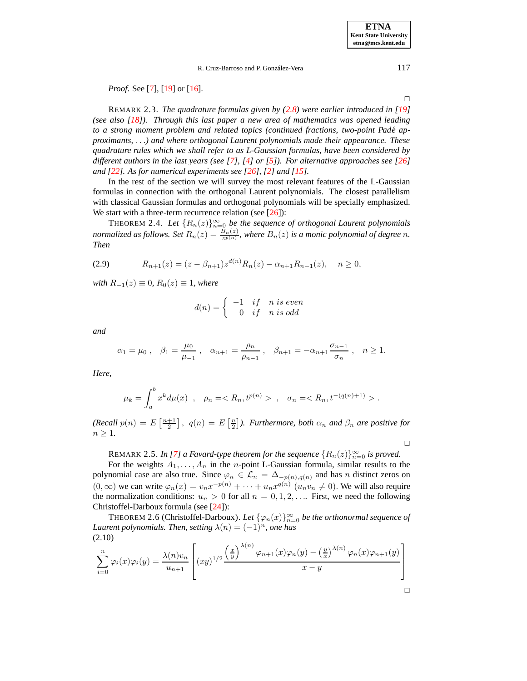*Proof.* See [\[7\]](#page-21-6), [\[19\]](#page-21-8) or [\[16\]](#page-21-9).

REMARK 2.3. *The quadrature formulas given by [\(2.8\)](#page-3-3) were earlier introduced in [\[19\]](#page-21-8) (see also [\[18\]](#page-21-10)). Through this last paper a new area of mathematics was opened leading to a strong moment problem and related topics (continued fractions, two-point Pade´ approximants,* . . .*) and where orthogonal Laurent polynomials made their appearance. These quadrature rules which we shall refer to as L-Gaussian formulas, have been considered by different authors in the last years (see [\[7\]](#page-21-6), [\[4\]](#page-21-4) or [\[5\]](#page-21-11)). For alternative approaches see [\[26\]](#page-21-12) and [\[22\]](#page-21-13). As for numerical experiments see [\[26\]](#page-21-12), [\[2\]](#page-20-1) and [\[15\]](#page-21-14).*

In the rest of the section we will survey the most relevant features of the L-Gaussian formulas in connection with the orthogonal Laurent polynomials. The closest parallelism with classical Gaussian formulas and orthogonal polynomials will be specially emphasized. We start with a three-term recurrence relation (see  $[26]$ ):

<span id="page-4-1"></span>THEOREM 2.4. Let  ${R_n(z)}_{n=0}^\infty$  be the sequence of orthogonal Laurent polynomials *normalized as follows.* Set  $R_n(z) = \frac{B_n(z)}{z^{p(n)}}$  $\frac{B_n(z)}{z^{p(n)}}$ , where  $B_n(z)$  is a monic polynomial of degree n. *Then*

$$
(2.9) \t R_{n+1}(z) = (z - \beta_{n+1}) z^{d(n)} R_n(z) - \alpha_{n+1} R_{n-1}(z), \quad n \ge 0,
$$

*with*  $R_{-1}(z) \equiv 0$ *,*  $R_0(z) \equiv 1$ *, where* 

$$
d(n) = \begin{cases} -1 & \text{if } n \text{ is even} \\ 0 & \text{if } n \text{ is odd} \end{cases}
$$

*and*

$$
\alpha_1 = \mu_0
$$
,  $\beta_1 = \frac{\mu_0}{\mu_{-1}}$ ,  $\alpha_{n+1} = \frac{\rho_n}{\rho_{n-1}}$ ,  $\beta_{n+1} = -\alpha_{n+1} \frac{\sigma_{n-1}}{\sigma_n}$ ,  $n \ge 1$ .

*Here,*

$$
\mu_k = \int_a^b x^k d\mu(x) , \quad \rho_n = \langle R_n, t^{p(n)} \rangle , \quad \sigma_n = \langle R_n, t^{-(q(n)+1)} \rangle .
$$

 $(Recall p(n) = E\left[\frac{n+1}{2}\right], q(n) = E\left[\frac{n}{2}\right]$ . *Furthermore, both*  $\alpha_n$  *and*  $\beta_n$  *are positive for*  $n \geq 1$ .

 $\Box$ 

<span id="page-4-0"></span>REMARK 2.5. *In* [\[7\]](#page-21-6) *a Favard-type theorem for the sequence*  ${R_n(z)}_{n=0}^{\infty}$  *is proved.* 

For the weights  $A_1, \ldots, A_n$  in the *n*-point L-Gaussian formula, similar results to the polynomial case are also true. Since  $\varphi_n \in \mathcal{L}_n = \Delta_{-p(n),q(n)}$  and has n distinct zeros on  $(0, \infty)$  we can write  $\varphi_n(x) = v_n x^{-p(n)} + \cdots + u_n x^{q(n)}$   $(u_n v_n \neq 0)$ . We will also require the normalization conditions:  $u_n > 0$  for all  $n = 0, 1, 2, \ldots$  First, we need the following Christoffel-Darboux formula (see [\[24\]](#page-21-15)):

THEOREM 2.6 (Christoffel-Darboux). Let  $\{\varphi_n(x)\}_{n=0}^{\infty}$  be the orthonormal sequence of *Laurent polynomials. Then, setting*  $\lambda(n) = (-1)^n$ *, one has* (2.10)

$$
\sum_{i=0}^{n} \varphi_i(x)\varphi_i(y) = \frac{\lambda(n)v_n}{u_{n+1}} \left[ (xy)^{1/2} \frac{\left(\frac{x}{y}\right)^{\lambda(n)}\varphi_{n+1}(x)\varphi_n(y) - \left(\frac{y}{x}\right)^{\lambda(n)}\varphi_n(x)\varphi_{n+1}(y)}{x-y} \right]
$$

 $\Box$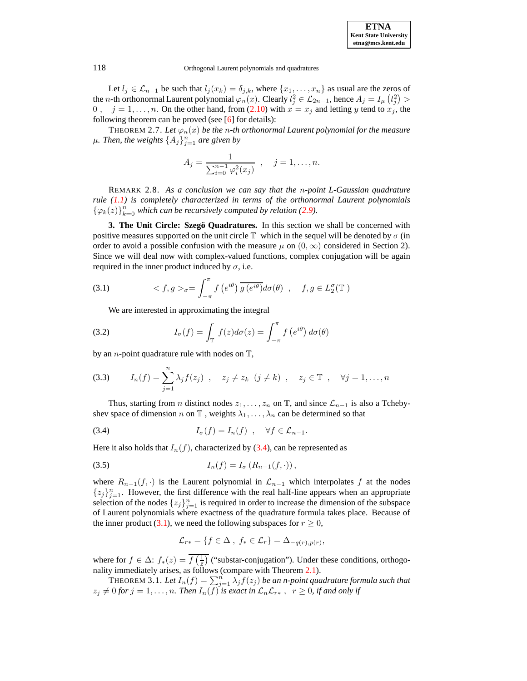Let  $l_j \in \mathcal{L}_{n-1}$  be such that  $l_j(x_k) = \delta_{j,k}$ , where  $\{x_1, \ldots, x_n\}$  as usual are the zeros of the *n*-th orthonormal Laurent polynomial  $\varphi_n(x)$ . Clearly  $l_j^2 \in \mathcal{L}_{2n-1}$ , hence  $A_j = I_{\mu}(l_j^2) >$ 0,  $j = 1, \ldots, n$ . On the other hand, from [\(2.10\)](#page-4-0) with  $x = x_j$  and letting y tend to  $x_j$ , the following theorem can be proved (see  $[6]$  for details):

<span id="page-5-3"></span>THEOREM 2.7. Let  $\varphi_n(x)$  be the *n*-th orthonormal Laurent polynomial for the measure  $\mu$ *. Then, the weights*  $\{A_j\}_{j=1}^n$  *are given by* 

<span id="page-5-2"></span>
$$
A_j = \frac{1}{\sum_{i=0}^{n-1} \varphi_i^2(x_j)}, \quad j = 1, \dots, n.
$$

REMARK 2.8. *As a conclusion we can say that the* n*-point L-Gaussian quadrature rule [\(1.1\)](#page-0-0) is completely characterized in terms of the orthonormal Laurent polynomials*  $\{\varphi_k(z)\}_{k=0}^n$  *which can be recursively computed by relation* [\(2.9\)](#page-4-1)*.* 

**3. The Unit Circle: Szego¨ Quadratures.** In this section we shall be concerned with positive measures supported on the unit circle  $\mathbb T$  which in the sequel will be denoted by  $\sigma$  (in order to avoid a possible confusion with the measure  $\mu$  on  $(0, \infty)$  considered in Section 2). Since we will deal now with complex-valued functions, complex conjugation will be again required in the inner product induced by  $\sigma$ , i.e.

(3.1) 
$$
\langle f, g \rangle_{\sigma} = \int_{-\pi}^{\pi} f(e^{i\theta}) \overline{g(e^{i\theta})} d\sigma(\theta) , \quad f, g \in L_2^{\sigma}(\mathbb{T})
$$

We are interested in approximating the integral

(3.2) 
$$
I_{\sigma}(f) = \int_{\mathbb{T}} f(z) d\sigma(z) = \int_{-\pi}^{\pi} f(e^{i\theta}) d\sigma(\theta)
$$

by an *n*-point quadrature rule with nodes on  $\mathbb{T}$ ,

(3.3) 
$$
I_n(f) = \sum_{j=1}^n \lambda_j f(z_j) , \quad z_j \neq z_k \ (j \neq k) , \quad z_j \in \mathbb{T} , \quad \forall j = 1, ..., n
$$

Thus, starting from n distinct nodes  $z_1, \ldots, z_n$  on  $\mathbb T$ , and since  $\mathcal L_{n-1}$  is also a Tchebyshev space of dimension n on  $\mathbb T$ , weights  $\lambda_1, \ldots, \lambda_n$  can be determined so that

(3.4) 
$$
I_{\sigma}(f) = I_{n}(f) , \quad \forall f \in \mathcal{L}_{n-1}.
$$

Here it also holds that  $I_n(f)$ , characterized by [\(3.4\)](#page-5-1), can be represented as

(3.5) 
$$
I_n(f) = I_{\sigma} (R_{n-1}(f, \cdot)),
$$

where  $R_{n-1}(f, \cdot)$  is the Laurent polynomial in  $\mathcal{L}_{n-1}$  which interpolates f at the nodes  $\{z_j\}_{j=1}^n$ . However, the first difference with the real half-line appears when an appropriate selection of the nodes  $\{z_j\}_{j=1}^n$  is required in order to increase the dimension of the subspace of Laurent polynomials where exactness of the quadrature formula takes place. Because of the inner product [\(3.1\)](#page-5-2), we need the following subspaces for  $r \geq 0$ ,

<span id="page-5-1"></span>
$$
\mathcal{L}_{r*} = \{f \in \Delta ,\ f_* \in \mathcal{L}_r\} = \Delta_{-q(r),p(r)},
$$

where for  $f \in \Delta$ :  $f_*(z) = f\left(\frac{1}{\overline{z}}\right)$  ("substar-conjugation"). Under these conditions, orthogonality immediately arises, as follows (compare with Theorem [2.1\)](#page-3-4).

<span id="page-5-0"></span> $\text{THEOREM 3.1. } Let \, I_n(f) = \sum_{j=1}^n \lambda_j f(z_j)$  be an *n-point quadrature formula such that*  $z_j \neq 0$  for  $j = 1, \ldots, n$ . Then  $I_n(f)$  is exact in  $\mathcal{L}_n\mathcal{L}_{r*}$ ,  $r \geq 0$ , if and only if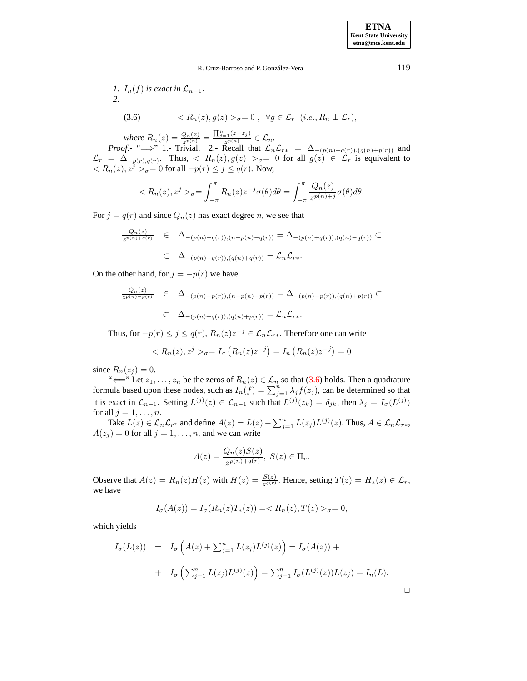<span id="page-6-0"></span>\n- 1. 
$$
I_n(f)
$$
 is exact in  $\mathcal{L}_{n-1}$ .
\n- 2.  $(3.6) \quad < R_n(z), g(z) >_{\sigma} = 0 \,, \forall g \in \mathcal{L}_r \ (i.e., R_n \perp \mathcal{L}_r),$
\n

*where*  $R_n(z) = \frac{Q_n(z)}{z^{p(n)}}$  $\frac{Q_n(z)}{z^{p(n)}} = \frac{\prod_{j=1}^n (z-z_j)}{z^{p(n)}} \in \mathcal{L}_n.$ 

*Proof*.- " $\implies$ " 1.- Trivial. 2.- Recall that  $\mathcal{L}_n\mathcal{L}_{r*} = \Delta_{-(p(n)+q(r)),(q(n)+p(r))}$  and  $\mathcal{L}_r = \Delta_{-p(r),q(r)}$ . Thus,  $\langle R_n(z), g(z) \rangle_{\sigma} = 0$  for all  $g(z) \in \mathcal{L}_r$  is equivalent to  $\langle R_n(z), z^j \rangle_{\sigma} = 0$  for all  $-p(r) \le j \le q(r)$ . Now,

$$
\langle R_n(z), z^j \rangle_{\sigma} = \int_{-\pi}^{\pi} R_n(z) z^{-j} \sigma(\theta) d\theta = \int_{-\pi}^{\pi} \frac{Q_n(z)}{z^{p(n)+j}} \sigma(\theta) d\theta.
$$

For  $j = q(r)$  and since  $Q_n(z)$  has exact degree n, we see that

$$
\frac{Q_n(z)}{z^{p(n)+q(r)}} \in \Delta_{-(p(n)+q(r)),(n-p(n)-q(r))} = \Delta_{-(p(n)+q(r)),(q(n)-q(r))} \subset
$$
  

$$
\subset \Delta_{-(p(n)+q(r)),(q(n)+q(r))} = \mathcal{L}_n \mathcal{L}_{r*}.
$$

On the other hand, for  $j = -p(r)$  we have

$$
\frac{Q_n(z)}{z^{p(n)-p(r)}} \in \Delta_{-(p(n)-p(r)),(n-p(n)-p(r))} = \Delta_{-(p(n)-p(r)),(q(n)+p(r))} \subset
$$
  

$$
\subset \Delta_{-(p(n)+q(r)),(q(n)+p(r))} = \mathcal{L}_n \mathcal{L}_{r*}.
$$

Thus, for  $-p(r) \leq j \leq q(r)$ ,  $R_n(z)z^{-j} \in \mathcal{L}_n\mathcal{L}_{r\ast}$ . Therefore one can write

$$
\langle R_n(z), z^j \rangle_{\sigma} = I_{\sigma} \left( R_n(z) z^{-j} \right) = I_n \left( R_n(z) z^{-j} \right) = 0
$$

since  $R_n(z_i) = 0$ .

" $\Longleftarrow$ " Let  $z_1, \ldots, z_n$  be the zeros of  $R_n(z) \in \mathcal{L}_n$  so that [\(3.6\)](#page-6-0) holds. Then a quadrature formula based upon these nodes, such as  $I_n(f) = \sum_{j=1}^n \lambda_j f(z_j)$ , can be determined so that it is exact in  $\mathcal{L}_{n-1}$ . Setting  $L^{(j)}(z) \in \mathcal{L}_{n-1}$  such that  $L^{(j)}(z_k) = \delta_{jk}$ , then  $\lambda_j = I_{\sigma}(L^{(j)})$ for all  $j = 1, \ldots, n$ .

Take  $L(z) \in \mathcal{L}_n \mathcal{L}_{r^*}$  and define  $A(z) = L(z) - \sum_{j=1}^n L(z_j) L^{(j)}(z)$ . Thus,  $A \in \mathcal{L}_n \mathcal{L}_{r^*}$ ,  $A(z_j) = 0$  for all  $j = 1, \dots, n$ , and we can write

$$
A(z) = \frac{Q_n(z)S(z)}{z^{p(n)+q(r)}}, \ S(z) \in \Pi_r.
$$

Observe that  $A(z) = R_n(z)H(z)$  with  $H(z) = \frac{S(z)}{z^{q(r)}}$  $\frac{S(z)}{z^{q(r)}}$ . Hence, setting  $T(z) = H_*(z) \in \mathcal{L}_r$ , we have

$$
I_{\sigma}(A(z)) = I_{\sigma}(R_n(z)T_*(z)) = \langle R_n(z), T(z) \rangle_{\sigma} = 0,
$$

which yields

$$
I_{\sigma}(L(z)) = I_{\sigma}\left(A(z) + \sum_{j=1}^{n} L(z_j)L^{(j)}(z)\right) = I_{\sigma}(A(z)) + I_{\sigma}\left(\sum_{j=1}^{n} L(z_j)L^{(j)}(z)\right) = \sum_{j=1}^{n} I_{\sigma}(L^{(j)}(z))L(z_j) = I_{n}(L).
$$

 $\Box$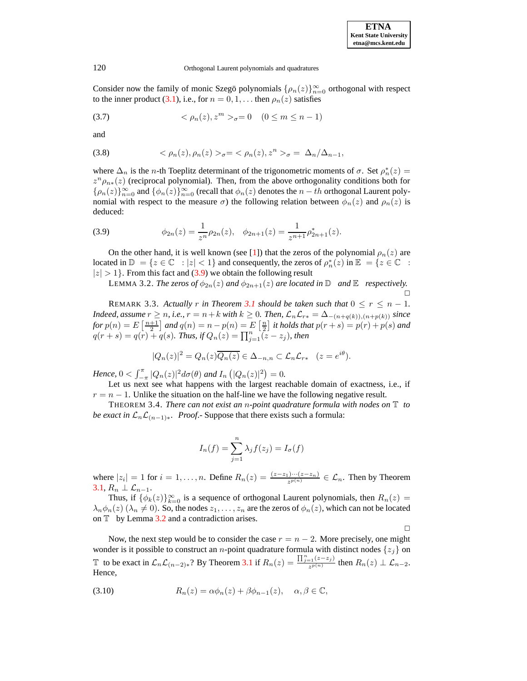Consider now the family of monic Szegö polynomials  $\{\rho_n(z)\}_{n=0}^{\infty}$  orthogonal with respect to the inner product [\(3.1\)](#page-5-2), i.e., for  $n = 0, 1, \dots$  then  $\rho_n(z)$  satisfies

(3.7) 
$$
\langle \rho_n(z), z^m \rangle_{\sigma} = 0 \quad (0 \le m \le n-1)
$$

and

(3.8) 
$$
\langle \rho_n(z), \rho_n(z) \rangle_{\sigma} = \langle \rho_n(z), z^n \rangle_{\sigma} = \Delta_n/\Delta_{n-1},
$$

where  $\Delta_n$  is the *n*-th Toeplitz determinant of the trigonometric moments of  $\sigma$ . Set  $\rho_n^*(z)$  =  $z^n \rho_{n*}(z)$  (reciprocal polynomial). Then, from the above orthogonality conditions both for  $\{\rho_n(z)\}_{n=0}^{\infty}$  and  $\{\phi_n(z)\}_{n=0}^{\infty}$  (recall that  $\phi_n(z)$  denotes the  $n-th$  orthogonal Laurent polynomial with respect to the measure  $\sigma$ ) the following relation between  $\phi_n(z)$  and  $\rho_n(z)$  is deduced:

<span id="page-7-0"></span>(3.9) 
$$
\phi_{2n}(z) = \frac{1}{z^n} \rho_{2n}(z), \quad \phi_{2n+1}(z) = \frac{1}{z^{n+1}} \rho_{2n+1}^*(z).
$$

On the other hand, it is well known (see [\[1\]](#page-20-2)) that the zeros of the polynomial  $\rho_n(z)$  are located in  $\mathbb{D} = \{z \in \mathbb{C} : |z| < 1\}$  and consequently, the zeros of  $\rho_n^*(z)$  in  $\mathbb{E} = \{z \in \mathbb{C} :$  $|z| > 1$ . From this fact and [\(3.9\)](#page-7-0) we obtain the following result

LEMMA 3.2. *The zeros of*  $\phi_{2n}(z)$  *and*  $\phi_{2n+1}(z)$  *are located in*  $\mathbb{D}$  *and*  $\mathbb{E}$  *respectively.*  $\Box$ 

REMARK 3.3. Actually r in Theorem [3.1](#page-5-0) should be taken such that  $0 \le r \le n - 1$ . *Indeed, assume*  $r \geq n$ *, i.e.,*  $r = n + k$  *with*  $k \geq 0$ *. Then,*  $\mathcal{L}_n \mathcal{L}_{r*} = \Delta_{-(n+q(k)), (n+p(k))}$  *since for*  $p(n) = E\left[\frac{n+1}{2}\right]$  *and*  $q(n) = n - p(n) = E\left[\frac{n}{2}\right]$  *it holds that*  $p(r+s) = p(r) + p(s)$  *and*  $q(r + s) = q(r) + q(s)$ . *Thus, if*  $Q_n(z) = \prod_{j=1}^n (z - z_j)$ *, then* 

<span id="page-7-1"></span>
$$
|Q_n(z)|^2 = Q_n(z)\overline{Q_n(z)} \in \Delta_{-n,n} \subset \mathcal{L}_n \mathcal{L}_{r*} \quad (z = e^{i\theta}).
$$

*Hence*,  $0 < \int_{-\pi}^{\pi} |Q_n(z)|^2 d\sigma(\theta)$  *and*  $I_n(\vert Q_n(z) \vert^2) = 0$ .

Let us next see what happens with the largest reachable domain of exactness, i.e., if  $r = n - 1$ . Unlike the situation on the half-line we have the following negative result.

THEOREM 3.4. *There can not exist an* n*-point quadrature formula with nodes on* T *to be exact* in  $\mathcal{L}_n \mathcal{L}_{(n-1)*}$ *. Proof.*- Suppose that there exists such a formula:

$$
I_n(f) = \sum_{j=1}^n \lambda_j f(z_j) = I_{\sigma}(f)
$$

where  $|z_i|=1$  for  $i=1,\ldots,n$ . Define  $R_n(z)=\frac{(z-z_1)\cdots(z-z_n)}{z^{p(n)}}\in\mathcal{L}_n$ . Then by Theorem [3.1,](#page-5-0)  $R_n \perp \mathcal{L}_{n-1}$ .

Thus, if  $\{\phi_k(z)\}_{k=0}^{\infty}$  is a sequence of orthogonal Laurent polynomials, then  $R_n(z)$  $\lambda_n \phi_n(z)$  ( $\lambda_n \neq 0$ ). So, the nodes  $z_1, \ldots, z_n$  are the zeros of  $\phi_n(z)$ , which can not be located on  $\mathbb T$  by Lemma [3.2](#page-7-1) and a contradiction arises.

 $\Box$ 

<span id="page-7-2"></span>Now, the next step would be to consider the case  $r = n - 2$ . More precisely, one might wonder is it possible to construct an *n*-point quadrature formula with distinct nodes  $\{z_j\}$  on T to be exact in  $\mathcal{L}_n \mathcal{L}_{(n-2)*}$ ? By Theorem [3.1](#page-5-0) if  $R_n(z) = \frac{\prod_{j=1}^n (z-z_j)}{z^{p(n)}}$  then  $R_n(z) \perp \mathcal{L}_{n-2}$ . Hence,

(3.10) 
$$
R_n(z) = \alpha \phi_n(z) + \beta \phi_{n-1}(z), \quad \alpha, \beta \in \mathbb{C},
$$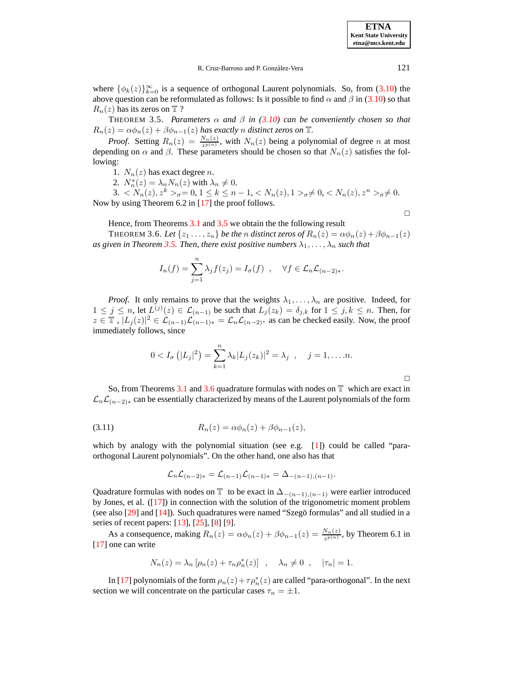**ETNA Kent State University etna@mcs.kent.edu**

where  $\{\phi_k(z)\}_{k=0}^{\infty}$  is a sequence of orthogonal Laurent polynomials. So, from [\(3.10\)](#page-7-2) the above question can be reformulated as follows: Is it possible to find  $\alpha$  and  $\beta$  in [\(3.10\)](#page-7-2) so that  $R_n(z)$  has its zeros on  $\mathbb T$  ?

<span id="page-8-0"></span>THEOREM 3.5. *Parameters* α *and* β *in [\(3.10\)](#page-7-2) can be conveniently chosen so that*  $R_n(z) = \alpha \phi_n(z) + \beta \phi_{n-1}(z)$  has exactly *n* distinct zeros on  $\mathbb{T}$ .

*Proof.* Setting  $R_n(z) = \frac{N_n(z)}{z^{p(n)}}$  $\frac{N_n(z)}{z^{p(n)}}$ , with  $N_n(z)$  being a polynomial of degree *n* at most depending on  $\alpha$  and  $\beta$ . These parameters should be chosen so that  $N_n(z)$  satisfies the following:

1.  $N_n(z)$  has exact degree n.

2.  $N_n^*(z) = \lambda_n N_n(z)$  with  $\lambda_n \neq 0$ .

3.  $\langle N_n(z), z^k \rangle_{\sigma} = 0, 1 \le k \le n - 1, \langle N_n(z), 1 \rangle_{\sigma} \neq 0, \langle N_n(z), z^n \rangle_{\sigma} \neq 0.$ Now by using Theorem 6.2 in [\[17\]](#page-21-17) the proof follows.

Hence, from Theorems [3.1](#page-5-0) and [3.5](#page-8-0) we obtain the the following result

<span id="page-8-1"></span>THEOREM 3.6. Let  $\{z_1 \ldots, z_n\}$  be the n distinct zeros of  $R_n(z) = \alpha \phi_n(z) + \beta \phi_{n-1}(z)$ *as* given in Theorem [3.5.](#page-8-0) Then, there exist positive numbers  $\lambda_1, \ldots, \lambda_n$  such that

$$
I_n(f) = \sum_{j=1}^n \lambda_j f(z_j) = I_{\sigma}(f) \quad , \quad \forall f \in \mathcal{L}_n \mathcal{L}_{(n-2)*}.
$$

*Proof.* It only remains to prove that the weights  $\lambda_1, \ldots, \lambda_n$  are positive. Indeed, for  $1 \leq j \leq n$ , let  $L^{(j)}(z) \in \mathcal{L}_{(n-1)}$  be such that  $L_j(z_k) = \delta_{j,k}$  for  $1 \leq j, k \leq n$ . Then, for  $z \in \mathbb{T}$ ,  $|L_j(z)|^2 \in \mathcal{L}_{(n-1)}\mathcal{L}_{(n-1)*} = \mathcal{L}_n\mathcal{L}_{(n-2)*}$  as can be checked easily. Now, the proof immediately follows, since

$$
0 < I_{\sigma} (|L_j|^2) = \sum_{k=1}^{n} \lambda_k |L_j(z_k)|^2 = \lambda_j , \quad j = 1, ..., n.
$$

<span id="page-8-2"></span>So, from Theorems [3.1](#page-5-0) and [3.6](#page-8-1) quadrature formulas with nodes on  $\mathbb T$  which are exact in  $\mathcal{L}_n\mathcal{L}_{(n-2)*}$  can be essentially characterized by means of the Laurent polynomials of the form

$$
(3.11) \t\t R_n(z) = \alpha \phi_n(z) + \beta \phi_{n-1}(z),
$$

which by analogy with the polynomial situation (see e.g. [\[1\]](#page-20-2)) could be called "paraorthogonal Laurent polynomials". On the other hand, one also has that

$$
\mathcal{L}_n \mathcal{L}_{(n-2)*} = \mathcal{L}_{(n-1)} \mathcal{L}_{(n-1)*} = \Delta_{-(n-1),(n-1)}.
$$

Quadrature formulas with nodes on  $\mathbb T$  to be exact in  $\Delta_{-(n-1),(n-1)}$  were earlier introduced by Jones, et al. ([\[17\]](#page-21-17)) in connection with the solution of the trigonometric moment problem (see also  $[29]$  and  $[14]$ ). Such quadratures were named "Szegö formulas" and all studied in a series of recent papers: [\[13\]](#page-21-20), [\[25\]](#page-21-21), [\[8\]](#page-21-22) [\[9\]](#page-21-23).

As a consequence, making  $R_n(z) = \alpha \phi_n(z) + \beta \phi_{n-1}(z) = \frac{N_n(z)}{z^{p(n)}}$  $\frac{N_n(z)}{z^{p(n)}}$ , by Theorem 6.1 in [\[17\]](#page-21-17) one can write

$$
N_n(z) = \lambda_n \left[ \rho_n(z) + \tau_n \rho_n^*(z) \right] , \quad \lambda_n \neq 0 , \quad |\tau_n| = 1.
$$

In [\[17\]](#page-21-17) polynomials of the form  $\rho_n(z) + \tau \rho_n^*(z)$  are called "para-orthogonal". In the next section we will concentrate on the particular cases  $\tau_n = \pm 1$ .

 $\Box$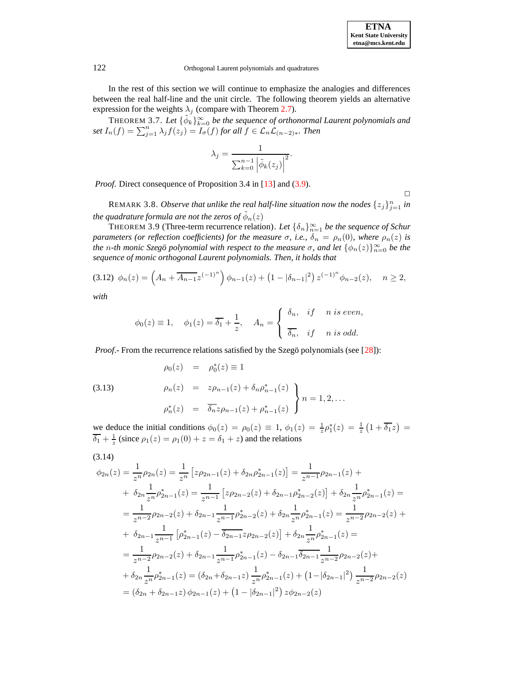**ETNA Kent State University etna@mcs.kent.edu**

### 122 Orthogonal Laurent polynomials and quadratures

In the rest of this section we will continue to emphasize the analogies and differences between the real half-line and the unit circle. The following theorem yields an alternative expression for the weights  $\lambda_j$  (compare with Theorem [2.7\)](#page-5-3).

THEOREM 3.7. Let  $\{\tilde{\phi}_k\}_{k=0}^{\infty}$  be the sequence of orthonormal Laurent polynomials and  $\int \int f(x) \, dx = \sum_{j=1}^n \lambda_j f(z_j) = \overline{I_{\sigma}(f)}$  *for all*  $f \in \mathcal{L}_n \mathcal{L}_{(n-2)*}$ *. Then* 

<span id="page-9-0"></span>
$$
\lambda_j = \frac{1}{\sum_{k=0}^{n-1} |\tilde{\phi}_k(z_j)|^2}.
$$

*Proof.* Direct consequence of Proposition 3.4 in [\[13\]](#page-21-20) and [\(3.9\)](#page-7-0).

<span id="page-9-3"></span> $\Box$ 

REMARK 3.8. *Observe that unlike the real half-line situation now the nodes*  $\{z_j\}_{j=1}^n$  *in the quadrature formula are not the zeros of*  $\tilde{\phi}_n(z)$ 

<span id="page-9-2"></span>THEOREM 3.9 (Three-term recurrence relation). Let  $\{\delta_n\}_{n=1}^{\infty}$  be the sequence of Schur *parameters* (or *reflection coefficients*) *for the measure*  $\sigma$ *, i.e.,*  $\delta_n = \rho_n(0)$ *, where*  $\rho_n(z)$  *is the n-th monic Szegö polynomial with respect to the measure*  $\sigma$ *, and let*  $\{\phi_n(z)\}_{n=0}^{\infty}$  *be the sequence of monic orthogonal Laurent polynomials. Then, it holds that*

$$
(3.12) \ \phi_n(z) = \left(A_n + \overline{A_{n-1}} z^{(-1)^n}\right) \phi_{n-1}(z) + \left(1 - |\delta_{n-1}|^2\right) z^{(-1)^n} \phi_{n-2}(z), \quad n \ge 2,
$$

*with*

$$
\phi_0(z) \equiv 1, \quad \phi_1(z) = \overline{\delta_1} + \frac{1}{z}, \quad A_n = \begin{cases} \delta_n, & \text{if } n \text{ is even,} \\ \overline{\delta_n}, & \text{if } n \text{ is odd.} \end{cases}
$$

*Proof*.- From the recurrence relations satisfied by the Szegö polynomials (see [\[28\]](#page-21-24)):

(3.13) 
$$
\rho_0(z) = \rho_0^*(z) \equiv 1
$$

$$
\rho_n(z) = z\rho_{n-1}(z) + \delta_n \rho_{n-1}^*(z)
$$

$$
\rho_n^*(z) = \overline{\delta_n} z\rho_{n-1}(z) + \rho_{n-1}^*(z)
$$
  $n = 1, 2, ...$ 

<span id="page-9-1"></span>we deduce the initial conditions  $\phi_0(z) = \rho_0(z) \equiv 1$ ,  $\phi_1(z) = \frac{1}{z} \rho_1^*(z) = \frac{1}{z} \left(1 + \overline{\delta_1} z\right) =$  $\overline{\delta_1} + \frac{1}{z}$  (since  $\rho_1(z) = \rho_1(0) + z = \delta_1 + z$ ) and the relations

(3.14)

$$
\phi_{2n}(z) = \frac{1}{z^n} \rho_{2n}(z) = \frac{1}{z^n} \left[ z \rho_{2n-1}(z) + \delta_{2n} \rho_{2n-1}^*(z) \right] = \frac{1}{z^{n-1}} \rho_{2n-1}(z) +
$$
  
+  $\delta_{2n} \frac{1}{z^n} \rho_{2n-1}^*(z) = \frac{1}{z^{n-1}} \left[ z \rho_{2n-2}(z) + \delta_{2n-1} \rho_{2n-2}^*(z) \right] + \delta_{2n} \frac{1}{z^n} \rho_{2n-1}^*(z) =$   
=  $\frac{1}{z^{n-2}} \rho_{2n-2}(z) + \delta_{2n-1} \frac{1}{z^{n-1}} \rho_{2n-2}^*(z) + \delta_{2n} \frac{1}{z^n} \rho_{2n-1}^*(z) = \frac{1}{z^{n-2}} \rho_{2n-2}(z) +$   
+  $\delta_{2n-1} \frac{1}{z^{n-1}} \left[ \rho_{2n-1}^*(z) - \overline{\delta_{2n-1}} z \rho_{2n-2}(z) \right] + \delta_{2n} \frac{1}{z^n} \rho_{2n-1}^*(z) =$   
=  $\frac{1}{z^{n-2}} \rho_{2n-2}(z) + \delta_{2n-1} \frac{1}{z^{n-1}} \rho_{2n-1}^*(z) - \delta_{2n-1} \overline{\delta_{2n-1}} \frac{1}{z^{n-2}} \rho_{2n-2}(z) +$   
+  $\delta_{2n} \frac{1}{z^n} \rho_{2n-1}^*(z) = (\delta_{2n} + \delta_{2n-1} z) \frac{1}{z^n} \rho_{2n-1}^*(z) + (1 - |\delta_{2n-1}|^2) \frac{1}{z^{n-2}} \rho_{2n-2}(z)$   
=  $(\delta_{2n} + \delta_{2n-1} z) \phi_{2n-1}(z) + (1 - |\delta_{2n-1}|^2) z \phi_{2n-2}(z)$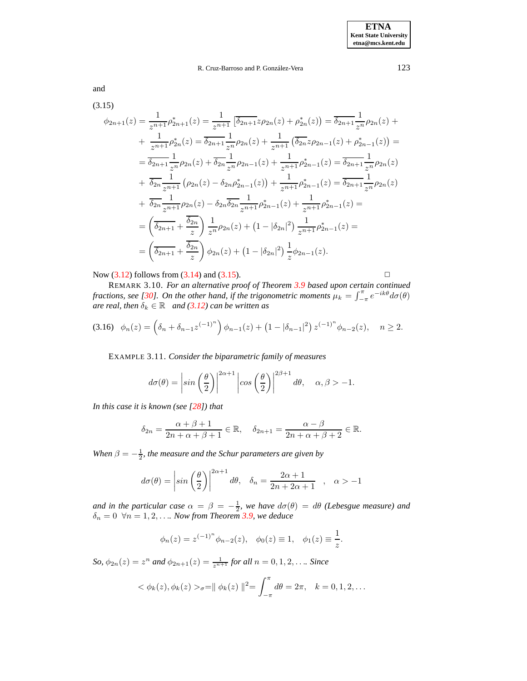<span id="page-10-0"></span>and

$$
(3.15)
$$
\n
$$
\phi_{2n+1}(z) = \frac{1}{z^{n+1}} \rho_{2n+1}^*(z) = \frac{1}{z^{n+1}} \left[ \overline{\delta_{2n+1}} z \rho_{2n}(z) + \rho_{2n}^*(z) \right] = \overline{\delta_{2n+1}} \frac{1}{z^n} \rho_{2n}(z) + \frac{1}{z^{n+1}} \left( \overline{\delta_{2n}} z \rho_{2n-1}(z) + \rho_{2n-1}^*(z) \right) =
$$
\n
$$
= \overline{\delta_{2n+1}} \frac{1}{z^n} \rho_{2n}(z) + \overline{\delta_{2n}} \frac{1}{z^n} \rho_{2n-1}(z) + \frac{1}{z^{n+1}} \rho_{2n-1}^*(z) + \rho_{2n-1}^*(z) = \overline{\delta_{2n+1}} \frac{1}{z^n} \rho_{2n}(z)
$$
\n
$$
+ \overline{\delta_{2n}} \frac{1}{z^{n+1}} \left( \rho_{2n}(z) - \delta_{2n} \rho_{2n-1}^*(z) \right) + \frac{1}{z^{n+1}} \rho_{2n-1}^*(z) = \overline{\delta_{2n+1}} \frac{1}{z^n} \rho_{2n}(z)
$$
\n
$$
+ \overline{\delta_{2n}} \frac{1}{z^{n+1}} \rho_{2n}(z) - \delta_{2n} \overline{\delta_{2n}} \frac{1}{z^{n+1}} \rho_{2n-1}^*(z) + \frac{1}{z^{n+1}} \rho_{2n-1}^*(z) =
$$
\n
$$
= \left( \overline{\delta_{2n+1}} + \frac{\overline{\delta_{2n}}}{z} \right) \frac{1}{z^n} \rho_{2n}(z) + \left( 1 - |\delta_{2n}|^2 \right) \frac{1}{z^{n+1}} \rho_{2n-1}^*(z) =
$$
\n
$$
= \left( \overline{\delta_{2n+1}} + \frac{\overline{\delta_{2n}}}{z} \right) \phi_{2n}(z) + \left( 1 - |\delta_{2n}|^2 \right) \frac{1}{z} \phi_{2n-1}(z).
$$

Now  $(3.12)$  follows from  $(3.14)$  and  $(3.15)$ .

$$
\Box
$$

REMARK 3.10. *For an alternative proof of Theorem [3.9](#page-9-2) based upon certain continued fractions, see* [\[30\]](#page-21-5)*. On the other hand, if the trigonometric moments*  $\mu_k = \int_{-\pi}^{\pi} e^{-ik\theta} d\sigma(\theta)$ *are real, then*  $\delta_k \in \mathbb{R}$  *and* [\(3.12\)](#page-9-0) *can be written as* 

$$
(3.16) \quad \phi_n(z) = \left(\delta_n + \delta_{n-1} z^{(-1)^n}\right) \phi_{n-1}(z) + \left(1 - |\delta_{n-1}|^2\right) z^{(-1)^n} \phi_{n-2}(z), \quad n \ge 2.
$$

EXAMPLE 3.11. *Consider the biparametric family of measures*

$$
d\sigma(\theta) = \left| \sin\left(\frac{\theta}{2}\right) \right|^{2\alpha+1} \left| \cos\left(\frac{\theta}{2}\right) \right|^{2\beta+1} d\theta, \quad \alpha, \beta > -1.
$$

*In this case it is known (see [\[28\]](#page-21-24)) that*

$$
\delta_{2n} = \frac{\alpha + \beta + 1}{2n + \alpha + \beta + 1} \in \mathbb{R}, \quad \delta_{2n+1} = \frac{\alpha - \beta}{2n + \alpha + \beta + 2} \in \mathbb{R}.
$$

*When*  $\beta = -\frac{1}{2}$ *, the measure and the Schur parameters are given by* 

$$
d\sigma(\theta) = \left|\sin\left(\frac{\theta}{2}\right)\right|^{2\alpha+1} d\theta, \quad \delta_n = \frac{2\alpha+1}{2n+2\alpha+1} \quad , \quad \alpha > -1
$$

*and in the particular case*  $\alpha = \beta = -\frac{1}{2}$ *, we have*  $d\sigma(\theta) = d\theta$  *(Lebesgue measure) and*  $\delta_n = 0 \ \ \forall n = 1, 2, \ldots$  *Now from Theorem [3.9,](#page-9-2) we deduce* 

$$
\phi_n(z) = z^{(-1)^n} \phi_{n-2}(z), \quad \phi_0(z) \equiv 1, \quad \phi_1(z) \equiv \frac{1}{z}.
$$

 $\mathcal{S}_0$ ,  $\phi_{2n}(z) = z^n$  and  $\phi_{2n+1}(z) = \frac{1}{z^{n+1}}$  *for all*  $n = 0, 1, 2, \ldots$  *Since* 

$$
< \phi_k(z), \phi_k(z) >_{\sigma} = || \phi_k(z) ||^2 = \int_{-\pi}^{\pi} d\theta = 2\pi, \quad k = 0, 1, 2, ...
$$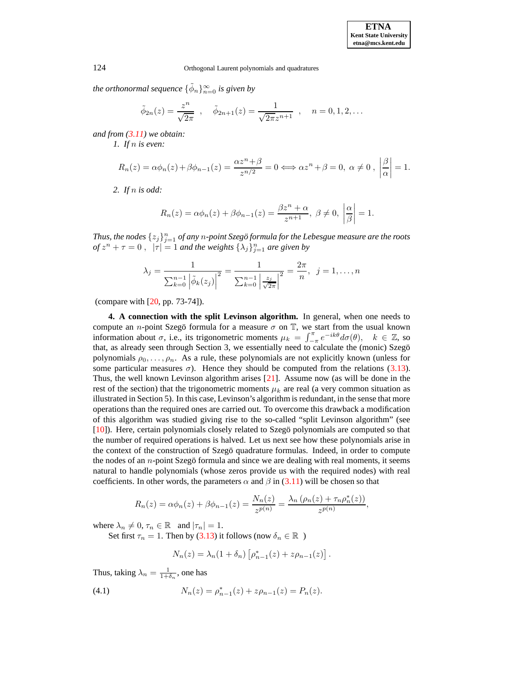*the orthonormal sequence*  $\{\tilde{\phi}_n\}_{n=0}^{\infty}$  *is given by* 

$$
\tilde{\phi}_{2n}(z) = \frac{z^n}{\sqrt{2\pi}}, \quad \tilde{\phi}_{2n+1}(z) = \frac{1}{\sqrt{2\pi}z^{n+1}}, \quad n = 0, 1, 2, \dots
$$

*and from [\(3.11\)](#page-8-2) we obtain:*

*1. If* n *is even:*

$$
R_n(z) = \alpha \phi_n(z) + \beta \phi_{n-1}(z) = \frac{\alpha z^n + \beta}{z^{n/2}} = 0 \Longleftrightarrow \alpha z^n + \beta = 0, \ \alpha \neq 0 , \ \left| \frac{\beta}{\alpha} \right| = 1.
$$

*2. If* n *is odd:*

$$
R_n(z) = \alpha \phi_n(z) + \beta \phi_{n-1}(z) = \frac{\beta z^n + \alpha}{z^{n+1}}, \ \beta \neq 0, \ \left| \frac{\alpha}{\beta} \right| = 1.
$$

 $\{F_{j}\}_{j=1}^{n}$  *of any*  $n$ *-point Szegö formula for the Lebesgue measure are the roots*  $of z^{n} + \tau = 0$ ,  $|\tau| = 1$  *and the weights*  $\{\lambda_{j}\}_{j=1}^{n}$  *are given by* 

$$
\lambda_j = \frac{1}{\sum_{k=0}^{n-1} |\tilde{\phi}_k(z_j)|^2} = \frac{1}{\sum_{k=0}^{n-1} |\frac{z_j}{\sqrt{2\pi}}|^2} = \frac{2\pi}{n}, \ \ j = 1, \dots, n
$$

(compare with [\[20,](#page-21-7) pp. 73-74]).

**4. A connection with the split Levinson algorithm.** In general, when one needs to compute an *n*-point Szegö formula for a measure  $\sigma$  on  $\mathbb{T}$ , we start from the usual known information about  $\sigma$ , i.e., its trigonometric moments  $\mu_k = \int_{-\pi}^{\pi} e^{-ik\theta} d\sigma(\theta)$ ,  $k \in \mathbb{Z}$ , so that, as already seen through Section 3, we essentially need to calculate the (monic) Szegö polynomials  $\rho_0, \ldots, \rho_n$ . As a rule, these polynomials are not explicitly known (unless for some particular measures  $\sigma$ ). Hence they should be computed from the relations [\(3.13\)](#page-9-3). Thus, the well known Levinson algorithm arises [\[21\]](#page-21-25). Assume now (as will be done in the rest of the section) that the trigonometric moments  $\mu_k$  are real (a very common situation as illustrated in Section 5). In this case, Levinson's algorithm is redundant, in the sense that more operations than the required ones are carried out. To overcome this drawback a modification of this algorithm was studied giving rise to the so-called "split Levinson algorithm" (see [\[10\]](#page-21-26)). Here, certain polynomials closely related to Szegö polynomials are computed so that the number of required operations is halved. Let us next see how these polynomials arise in the context of the construction of Szego quadrature formulas. Indeed, in order to compute the nodes of an *n*-point Szegö formula and since we are dealing with real moments, it seems natural to handle polynomials (whose zeros provide us with the required nodes) with real coefficients. In other words, the parameters  $\alpha$  and  $\beta$  in [\(3.11\)](#page-8-2) will be chosen so that

$$
R_n(z) = \alpha \phi_n(z) + \beta \phi_{n-1}(z) = \frac{N_n(z)}{z^{p(n)}} = \frac{\lambda_n \left( \rho_n(z) + \tau_n \rho_n^*(z) \right)}{z^{p(n)}},
$$

where  $\lambda_n \neq 0, \tau_n \in \mathbb{R}$  and  $|\tau_n| = 1$ .

Set first  $\tau_n = 1$ . Then by [\(3.13\)](#page-9-3) it follows (now  $\delta_n \in \mathbb{R}$ )

<span id="page-11-0"></span>
$$
N_n(z) = \lambda_n (1 + \delta_n) \left[ \rho_{n-1}^*(z) + z \rho_{n-1}(z) \right].
$$

Thus, taking  $\lambda_n = \frac{1}{1+\delta_n}$ , one has

(4.1) 
$$
N_n(z) = \rho_{n-1}^*(z) + z\rho_{n-1}(z) = P_n(z).
$$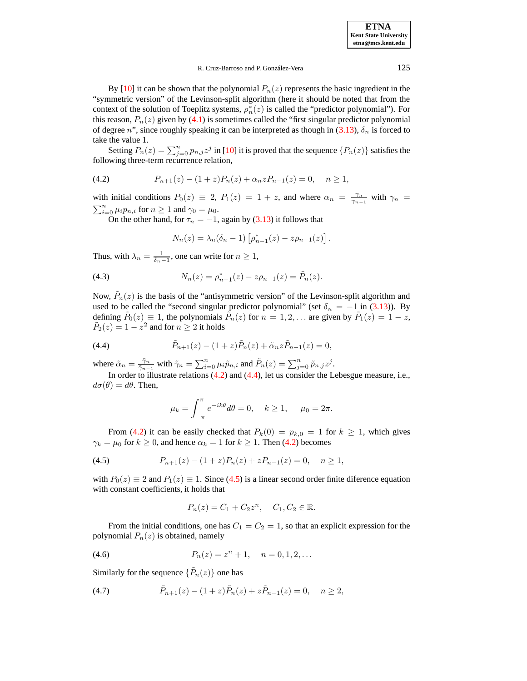**ETNA Kent State University etna@mcs.kent.edu**

### R. Cruz-Barroso and P. González-Vera **125**

By [\[10\]](#page-21-26) it can be shown that the polynomial  $P_n(z)$  represents the basic ingredient in the "symmetric version" of the Levinson-split algorithm (here it should be noted that from the context of the solution of Toeplitz systems,  $\rho_n^*(z)$  is called the "predictor polynomial"). For this reason,  $P_n(z)$  given by [\(4.1\)](#page-11-0) is sometimes called the "first singular predictor polynomial of degree n", since roughly speaking it can be interpreted as though in [\(3.13\)](#page-9-3),  $\delta_n$  is forced to take the value 1.

<span id="page-12-0"></span>Setting  $P_n(z) = \sum_{j=0}^n p_{n,j} z^j$  in [\[10\]](#page-21-26) it is proved that the sequence  $\{P_n(z)\}$  satisfies the following three-term recurrence relation,

(4.2) 
$$
P_{n+1}(z) - (1+z)P_n(z) + \alpha_n z P_{n-1}(z) = 0, \quad n \ge 1,
$$

with initial conditions  $P_0(z) \equiv 2$ ,  $P_1(z) = 1 + z$ , and where  $\alpha_n = \frac{\gamma_n}{\gamma_{n-1}}$  with  $\gamma_n =$  $\sum_{i=0}^{n} \mu_i p_{n,i}$  for  $n \ge 1$  and  $\gamma_0 = \mu_0$ .

On the other hand, for  $\tau_n = -1$ , again by [\(3.13\)](#page-9-3) it follows that

$$
N_n(z) = \lambda_n(\delta_n - 1) \left[ \rho_{n-1}^*(z) - z \rho_{n-1}(z) \right].
$$

Thus, with  $\lambda_n = \frac{1}{\delta_n - 1}$ , one can write for  $n \ge 1$ ,

(4.3) 
$$
N_n(z) = \rho_{n-1}^*(z) - z\rho_{n-1}(z) = \tilde{P}_n(z).
$$

<span id="page-12-1"></span>Now,  $\tilde{P}_n(z)$  is the basis of the "antisymmetric version" of the Levinson-split algorithm and used to be called the "second singular predictor polynomial" (set  $\delta_n = -1$  in [\(3.13\)](#page-9-3)). By defining  $\tilde{P}_0(z) \equiv 1$ , the polynomials  $\tilde{P}_n(z)$  for  $n = 1, 2, \dots$  are given by  $\tilde{P}_1(z) = 1 - z$ ,  $\tilde{P}_2(z) = 1 - z^2$  and for  $n \ge 2$  it holds

(4.4) 
$$
\tilde{P}_{n+1}(z) - (1+z)\tilde{P}_n(z) + \tilde{\alpha}_n z \tilde{P}_{n-1}(z) = 0,
$$

where  $\tilde{\alpha}_n = \frac{\tilde{\gamma}_n}{\tilde{\gamma}_{n-1}}$  with  $\tilde{\gamma}_n = \sum_{i=0}^n \mu_i \tilde{p}_{n,i}$  and  $\tilde{P}_n(z) = \sum_{j=0}^n \tilde{p}_{n,j} z^j$ .

In order to illustrate relations [\(4.2\)](#page-12-0) and [\(4.4\)](#page-12-1), let us consider the Lebesgue measure, i.e.,  $d\sigma(\theta) = d\theta$ . Then,

<span id="page-12-2"></span>
$$
\mu_k = \int_{-\pi}^{\pi} e^{-ik\theta} d\theta = 0, \quad k \ge 1, \quad \mu_0 = 2\pi.
$$

From [\(4.2\)](#page-12-0) it can be easily checked that  $P_k(0) = p_{k,0} = 1$  for  $k \ge 1$ , which gives  $\gamma_k = \mu_0$  for  $k \ge 0$ , and hence  $\alpha_k = 1$  for  $k \ge 1$ . Then [\(4.2\)](#page-12-0) becomes

$$
(4.5) \t\t P_{n+1}(z) - (1+z)P_n(z) + zP_{n-1}(z) = 0, \quad n \ge 1,
$$

with  $P_0(z) \equiv 2$  and  $P_1(z) \equiv 1$ . Since [\(4.5\)](#page-12-2) is a linear second order finite diference equation with constant coefficients, it holds that

<span id="page-12-3"></span>
$$
P_n(z) = C_1 + C_2 z^n, \quad C_1, C_2 \in \mathbb{R}.
$$

From the initial conditions, one has  $C_1 = C_2 = 1$ , so that an explicit expression for the polynomial  $P_n(z)$  is obtained, namely

(4.6) 
$$
P_n(z) = z^n + 1, \quad n = 0, 1, 2, ...
$$

Similarly for the sequence  $\{\tilde{P}_n(z)\}$  one has

(4.7) 
$$
\tilde{P}_{n+1}(z) - (1+z)\tilde{P}_n(z) + z\tilde{P}_{n-1}(z) = 0, \quad n \ge 2,
$$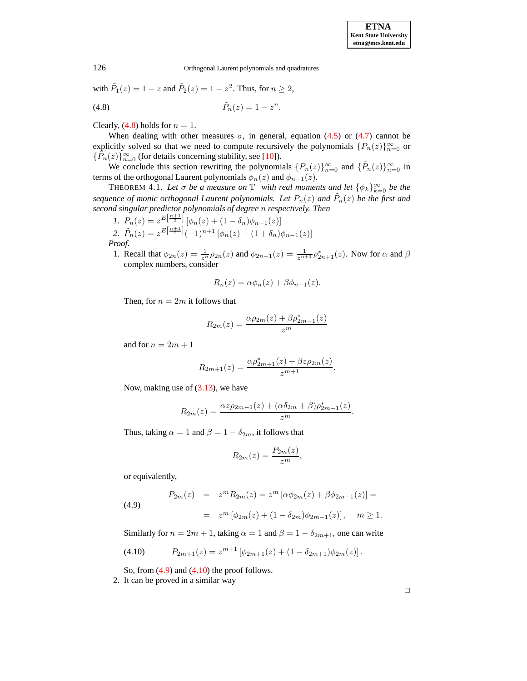with  $\tilde{P}_1(z) = 1 - z$  and  $\tilde{P}_2(z) = 1 - z^2$ . Thus, for  $n \ge 2$ ,

(4.8) 
$$
\tilde{P}_n(z) = 1 - z^n.
$$

Clearly,  $(4.8)$  holds for  $n = 1$ .

When dealing with other measures  $\sigma$ , in general, equation [\(4.5\)](#page-12-2) or [\(4.7\)](#page-12-3) cannot be explicitly solved so that we need to compute recursively the polynomials  $\{P_n(z)\}_{n=0}^{\infty}$  or  $\{\tilde{P}_n(z)\}_{n=0}^{\infty}$  (for details concerning stability, see [\[10\]](#page-21-26)).

We conclude this section rewriting the polynomials  ${P_n(z)}_{n=0}^{\infty}$  and  ${\lbrace \tilde{P}_n(z) \rbrace}_{n=0}^{\infty}$  in terms of the orthogonal Laurent polynomials  $\phi_n(z)$  and  $\phi_{n-1}(z)$ .

THEOREM 4.1. Let  $\sigma$  be a measure on  $\mathbb{T}$  with real moments and let  $\{\phi_k\}_{k=0}^{\infty}$  be the *sequence of monic orthogonal Laurent polynomials. Let*  $P_n(z)$  and  $\tilde{P}_n(z)$  be the first and *second singular predictor polynomials of degree* n *respectively. Then*

I. 
$$
P_n(z) = z^{E\left[\frac{n+1}{2}\right]} \left[\phi_n(z) + (1 - \delta_n)\phi_{n-1}(z)\right]
$$
  
\n2.  $\tilde{P}_n(z) = z^{E\left[\frac{n+1}{2}\right]} (-1)^{n+1} \left[\phi_n(z) - (1 + \delta_n)\phi_{n-1}(z)\right]$   
\n*Proof.*

1. Recall that  $\phi_{2n}(z) = \frac{1}{z^n} \rho_{2n}(z)$  and  $\phi_{2n+1}(z) = \frac{1}{z^{n+1}} \rho_{2n+1}^*(z)$ . Now for  $\alpha$  and  $\beta$ complex numbers, consider

$$
R_n(z) = \alpha \phi_n(z) + \beta \phi_{n-1}(z).
$$

Then, for  $n = 2m$  it follows that

$$
R_{2m}(z) = \frac{\alpha \rho_{2m}(z) + \beta \rho_{2m-1}^*(z)}{z^m}
$$

and for  $n = 2m + 1$ 

$$
R_{2m+1}(z) = \frac{\alpha \rho_{2m+1}^*(z) + \beta z \rho_{2m}(z)}{z^{m+1}}.
$$

Now, making use of  $(3.13)$ , we have

$$
R_{2m}(z) = \frac{\alpha z \rho_{2m-1}(z) + (\alpha \delta_{2m} + \beta) \rho_{2m-1}^*(z)}{z^m}.
$$

Thus, taking  $\alpha = 1$  and  $\beta = 1 - \delta_{2m}$ , it follows that

<span id="page-13-2"></span>
$$
R_{2m}(z) = \frac{P_{2m}(z)}{z^m},
$$

<span id="page-13-1"></span>or equivalently,

(4.9) 
$$
P_{2m}(z) = z^m R_{2m}(z) = z^m [\alpha \phi_{2m}(z) + \beta \phi_{2m-1}(z)] =
$$

$$
= z^m [\phi_{2m}(z) + (1 - \delta_{2m}) \phi_{2m-1}(z)], \quad m \ge 1.
$$

Similarly for  $n = 2m + 1$ , taking  $\alpha = 1$  and  $\beta = 1 - \delta_{2m+1}$ , one can write

$$
(4.10) \tP_{2m+1}(z) = z^{m+1} \left[ \phi_{2m+1}(z) + (1 - \delta_{2m+1}) \phi_{2m}(z) \right].
$$

So, from  $(4.9)$  and  $(4.10)$  the proof follows.

2. It can be proved in a similar way

<span id="page-13-0"></span>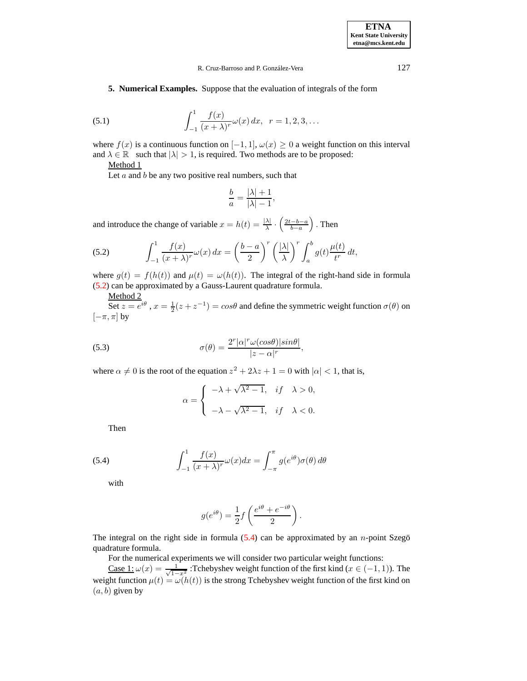**5. Numerical Examples.** Suppose that the evaluation of integrals of the form

(5.1) 
$$
\int_{-1}^{1} \frac{f(x)}{(x+\lambda)^r} \omega(x) dx, \ \ r = 1, 2, 3, ...
$$

where  $f(x)$  is a continuous function on  $[-1, 1]$ ,  $\omega(x) \ge 0$  a weight function on this interval and  $\lambda \in \mathbb{R}$  such that  $|\lambda| > 1$ , is required. Two methods are to be proposed:

Method 1

Let  $a$  and  $b$  be any two positive real numbers, such that

<span id="page-14-0"></span>
$$
\frac{b}{a} = \frac{|\lambda|+1}{|\lambda|-1},
$$

and introduce the change of variable  $x = h(t) = \frac{|\lambda|}{\lambda} \cdot \left( \frac{2t - b - a}{b - a} \right)$  $\big)$ . Then

(5.2) 
$$
\int_{-1}^{1} \frac{f(x)}{(x+\lambda)^r} \omega(x) dx = \left(\frac{b-a}{2}\right)^r \left(\frac{|\lambda|}{\lambda}\right)^r \int_a^b g(t) \frac{\mu(t)}{t^r} dt,
$$

where  $g(t) = f(h(t))$  and  $\mu(t) = \omega(h(t))$ . The integral of the right-hand side in formula [\(5.2\)](#page-14-0) can be approximated by a Gauss-Laurent quadrature formula.

Method 2

<span id="page-14-2"></span>Set  $z = e^{i\theta}$ ,  $x = \frac{1}{2}(z + z^{-1}) = \cos\theta$  and define the symmetric weight function  $\sigma(\theta)$  on  $[-\pi, \pi]$  by

(5.3) 
$$
\sigma(\theta) = \frac{2^r |\alpha|^r \omega(cos\theta)|sin\theta|}{|z - \alpha|^r},
$$

where  $\alpha \neq 0$  is the root of the equation  $z^2 + 2\lambda z + 1 = 0$  with  $|\alpha| < 1$ , that is,

$$
\alpha = \begin{cases}\n-\lambda + \sqrt{\lambda^2 - 1}, & \text{if } \lambda > 0, \\
-\lambda - \sqrt{\lambda^2 - 1}, & \text{if } \lambda < 0.\n\end{cases}
$$

Then

<span id="page-14-1"></span>(5.4) 
$$
\int_{-1}^{1} \frac{f(x)}{(x+\lambda)^r} \omega(x) dx = \int_{-\pi}^{\pi} g(e^{i\theta}) \sigma(\theta) d\theta
$$

with

$$
g(e^{i\theta}) = \frac{1}{2}f\left(\frac{e^{i\theta} + e^{-i\theta}}{2}\right).
$$

The integral on the right side in formula  $(5.4)$  can be approximated by an *n*-point Szegö quadrature formula.

For the numerical experiments we will consider two particular weight functions:

Case 1:  $\omega(x) = \frac{1}{\sqrt{1-x^2}}$ : Tchebyshev weight function of the first kind ( $x \in (-1, 1)$ ). The weight function  $\mu(t) = \omega(h(t))$  is the strong Tchebyshev weight function of the first kind on  $(a, b)$  given by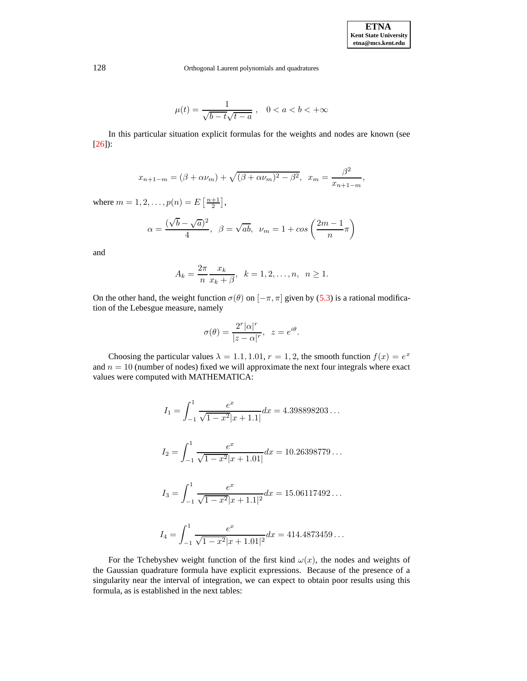$$
\mu(t) = \frac{1}{\sqrt{b - t}\sqrt{t - a}}, \quad 0 < a < b < +\infty
$$

In this particular situation explicit formulas for the weights and nodes are known (see [\[26\]](#page-21-12)):

$$
x_{n+1-m} = (\beta + \alpha \nu_m) + \sqrt{(\beta + \alpha \nu_m)^2 - \beta^2}, \quad x_m = \frac{\beta^2}{x_{n+1-m}},
$$

where  $m = 1, 2, ..., p(n) = E\left[\frac{n+1}{2}\right],$ 

$$
\alpha = \frac{(\sqrt{b} - \sqrt{a})^2}{4}, \ \ \beta = \sqrt{ab}, \ \ \nu_m = 1 + \cos\left(\frac{2m - 1}{n}\pi\right)
$$

and

$$
A_k = \frac{2\pi}{n} \frac{x_k}{x_k + \beta}, \ \ k = 1, 2, \dots, n, \ \ n \ge 1.
$$

On the other hand, the weight function  $\sigma(\theta)$  on  $[-\pi, \pi]$  given by [\(5.3\)](#page-14-2) is a rational modification of the Lebesgue measure, namely

$$
\sigma(\theta) = \frac{2^r |\alpha|^r}{|z - \alpha|^r}, \ \ z = e^{i\theta}.
$$

Choosing the particular values  $\lambda = 1.1, 1.01, r = 1, 2$ , the smooth function  $f(x) = e^x$ and  $n = 10$  (number of nodes) fixed we will approximate the next four integrals where exact values were computed with MATHEMATICA:

$$
I_1 = \int_{-1}^{1} \frac{e^x}{\sqrt{1 - x^2} |x + 1.1|} dx = 4.398898203...
$$
  
\n
$$
I_2 = \int_{-1}^{1} \frac{e^x}{\sqrt{1 - x^2} |x + 1.01|} dx = 10.26398779...
$$
  
\n
$$
I_3 = \int_{-1}^{1} \frac{e^x}{\sqrt{1 - x^2} |x + 1.1|^2} dx = 15.06117492...
$$
  
\n
$$
I_4 = \int_{-1}^{1} \frac{e^x}{\sqrt{1 - x^2} |x + 1.01|^2} dx = 414.4873459...
$$

For the Tchebyshev weight function of the first kind  $\omega(x)$ , the nodes and weights of the Gaussian quadrature formula have explicit expressions. Because of the presence of a singularity near the interval of integration, we can expect to obtain poor results using this formula, as is established in the next tables: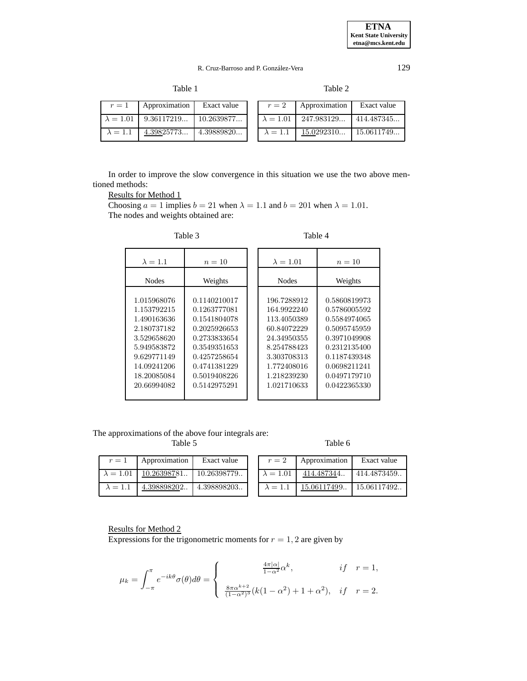```
Table 1 Table 2
```

| $r=1$           | Approximation Exact value                  |  | $r=2$           | Approximation                              | Exact value |
|-----------------|--------------------------------------------|--|-----------------|--------------------------------------------|-------------|
|                 | $\lambda = 1.01$   9.36117219   10.2639877 |  |                 | $\lambda = 1.01$   247.983129   414.487345 |             |
| $\lambda = 1.1$ | $4.39825773$   $4.39889820$                |  | $\lambda = 1.1$ | $15.0292310$   15.0611749                  |             |

In order to improve the slow convergence in this situation we use the two above mentioned methods:

## Results for Method 1

Choosing  $a = 1$  implies  $b = 21$  when  $\lambda = 1.1$  and  $b = 201$  when  $\lambda = 1.01$ . The nodes and weights obtained are:

| $\lambda = 1.1$                                                                                                                     | $n=10$                                                                                                                                       | $\lambda = 1.01$                                                                                                                    | $n=10$                                                                                                                                       |
|-------------------------------------------------------------------------------------------------------------------------------------|----------------------------------------------------------------------------------------------------------------------------------------------|-------------------------------------------------------------------------------------------------------------------------------------|----------------------------------------------------------------------------------------------------------------------------------------------|
| <b>Nodes</b>                                                                                                                        | Weights                                                                                                                                      | <b>Nodes</b>                                                                                                                        | Weights                                                                                                                                      |
| 1.015968076<br>1.153792215<br>1.490163636<br>2.180737182<br>3.529658620<br>5.949583872<br>9.629771149<br>14.09241206<br>18.20085084 | 0.1140210017<br>0.1263777081<br>0.1541804078<br>0.2025926653<br>0.2733833654<br>0.3549351653<br>0.4257258654<br>0.4741381229<br>0.5019408226 | 196.7288912<br>164.9922240<br>113.4050389<br>60.84072229<br>24.34950355<br>8.254788423<br>3.303708313<br>1.772408016<br>1.218239230 | 0.5860819973<br>0.5786005592<br>0.5584974065<br>0.5095745959<br>0.3971049908<br>0.2312135400<br>0.1187439348<br>0.0698211241<br>0.0497179710 |
| 20.66994082                                                                                                                         | 0.5142975291                                                                                                                                 | 1.021710633                                                                                                                         | 0.0422365330                                                                                                                                 |

Table 3 Table 4

The approximations of the above four integrals are:

Table 5 Table 6

| $r=1$            | Approximation | Exact value | $r=2$            | Approximation | Exact value |
|------------------|---------------|-------------|------------------|---------------|-------------|
| $\lambda = 1.01$ | 10.26398781   | 10.26398779 | $\lambda = 1.01$ | 414.487344    | 414.4873459 |
| $\lambda = 1.1$  | 4.398898202   | 4.398898203 | $\lambda = 1.1$  | 15.06117499   | 15.06117492 |

# Results for Method 2

Expressions for the trigonometric moments for  $r = 1, 2$  are given by

$$
\mu_k = \int_{-\pi}^{\pi} e^{-ik\theta} \sigma(\theta) d\theta = \begin{cases} \frac{4\pi|\alpha|}{1-\alpha^2} \alpha^k, & if \quad r = 1, \\ \frac{8\pi\alpha^{k+2}}{(1-\alpha^2)^3} (k(1-\alpha^2) + 1 + \alpha^2), & if \quad r = 2. \end{cases}
$$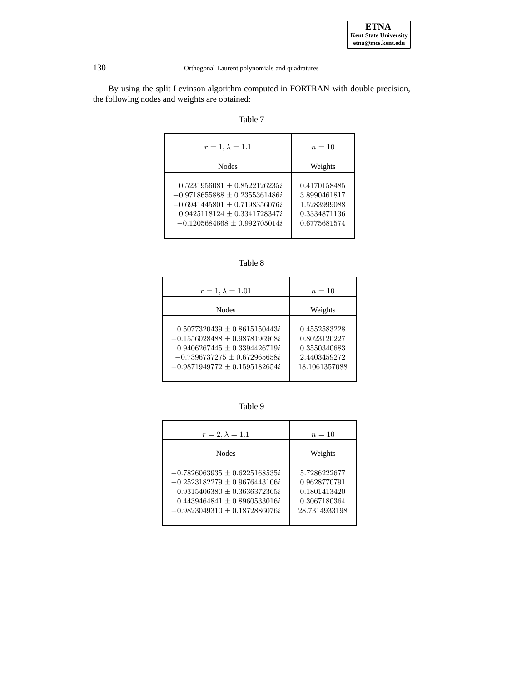

By using the split Levinson algorithm computed in FORTRAN with double precision, the following nodes and weights are obtained:

| anie |  |
|------|--|
|------|--|

| $r = 1, \lambda = 1.1$                                                                                                                                                       | $n=10$                                                                       |
|------------------------------------------------------------------------------------------------------------------------------------------------------------------------------|------------------------------------------------------------------------------|
| <b>Nodes</b>                                                                                                                                                                 | Weights                                                                      |
| $0.5231956081 + 0.8522126235i$<br>$-0.9718655888 + 0.2355361486i$<br>$-0.6941445801 + 0.7198356076i$<br>$0.9425118124 \pm 0.3341728347i$<br>$-0.1205684668 \pm 0.992705014i$ | 0.4170158485<br>3.8990461817<br>1.5283999088<br>0.3334871136<br>0.6775681574 |

Table 8

| $r = 1, \lambda = 1.01$                                                                                                                                                  | $n=10$                                                                        |
|--------------------------------------------------------------------------------------------------------------------------------------------------------------------------|-------------------------------------------------------------------------------|
| <b>Nodes</b>                                                                                                                                                             | Weights                                                                       |
| $0.5077320439 + 0.8615150443i$<br>$-0.1556028488 + 0.9878196968i$<br>$0.9406267445 + 0.3394426719i$<br>$-0.7396737275 + 0.672965658i$<br>$-0.9871949772 + 0.1595182654i$ | 0.4552583228<br>0.8023120227<br>0.3550340683<br>2.4403459272<br>18.1061357088 |

Table 9

| $r=2, \lambda=1.1$                                                                                                                                                              | $n=10$                                                                        |
|---------------------------------------------------------------------------------------------------------------------------------------------------------------------------------|-------------------------------------------------------------------------------|
| <b>Nodes</b>                                                                                                                                                                    | Weights                                                                       |
| $-0.7826063935 + 0.6225168535i$<br>$-0.2523182279 \pm 0.9676443106i$<br>$0.9315406380 + 0.3636372365i$<br>$0.4439464841 \pm 0.8960533016i$<br>$-0.9823049310 \pm 0.1872886076i$ | 5.7286222677<br>0.9628770791<br>0.1801413420<br>0.3067180364<br>28.7314933198 |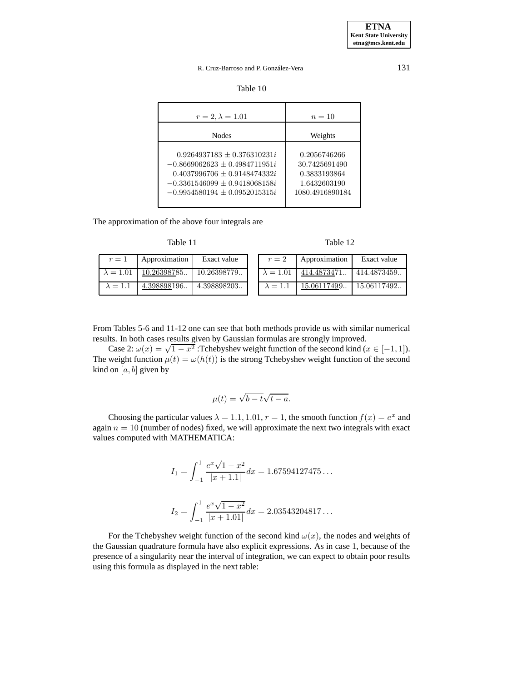|  |  | Table 10 |  |  |
|--|--|----------|--|--|
|--|--|----------|--|--|

| $r = 2, \lambda = 1.01$                                                                                                                                                      | $n=10$                                                                           |
|------------------------------------------------------------------------------------------------------------------------------------------------------------------------------|----------------------------------------------------------------------------------|
| <b>Nodes</b>                                                                                                                                                                 | Weights                                                                          |
| $0.9264937183 + 0.376310231i$<br>$-0.8669062623 + 0.4984711951i$<br>$0.4037996706 \pm 0.9148474332i$<br>$-0.3361546099 \pm 0.9418068158i$<br>$-0.9954580194 + 0.0952015315i$ | 0.2056746266<br>30.7425691490<br>0.3833193864<br>1.6432603190<br>1080.4916890184 |

The approximation of the above four integrals are

Table 11 Table 12

|  | Table | 12 |
|--|-------|----|
|--|-------|----|

| $r=1$            | Approximation | Exact value | $r=2$            | Approximation | Exact value |
|------------------|---------------|-------------|------------------|---------------|-------------|
| $\lambda = 1.01$ | 10.26398785   | 10.26398779 | $\lambda = 1.01$ | 1414.4873471  | 414.4873459 |
| $\lambda = 1.1$  | 4.398898196   | 4.398898203 | $\lambda = 1.1$  | 15.06117499   | 15.06117492 |

From Tables 5-6 and 11-12 one can see that both methods provide us with similar numerical results. In both cases results given by Gaussian formulas are strongly improved.

Case 2:  $\omega(x) = \sqrt{1-x^2}$ : Tchebyshev weight function of the second kind ( $x \in [-1,1]$ ). The weight function  $\mu(t) = \omega(h(t))$  is the strong Tchebyshev weight function of the second kind on  $[a, b]$  given by

$$
\mu(t) = \sqrt{b - t}\sqrt{t - a}.
$$

Choosing the particular values  $\lambda = 1.1, 1.01, r = 1$ , the smooth function  $f(x) = e^x$  and again  $n = 10$  (number of nodes) fixed, we will approximate the next two integrals with exact values computed with MATHEMATICA:

$$
I_1 = \int_{-1}^{1} \frac{e^x \sqrt{1 - x^2}}{|x + 1.1|} dx = 1.67594127475...
$$

$$
I_2 = \int_{-1}^{1} \frac{e^x \sqrt{1 - x^2}}{|x + 1.01|} dx = 2.03543204817...
$$

For the Tchebyshev weight function of the second kind  $\omega(x)$ , the nodes and weights of the Gaussian quadrature formula have also explicit expressions. As in case 1, because of the presence of a singularity near the interval of integration, we can expect to obtain poor results using this formula as displayed in the next table: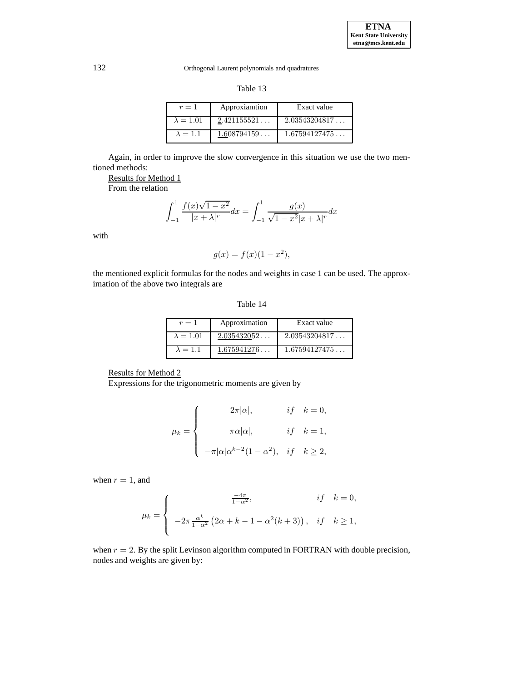| п<br>٧<br>× |  |
|-------------|--|
|-------------|--|

| $r=1$            | Approxiamtion | Exact value   |
|------------------|---------------|---------------|
| $\lambda = 1.01$ | 2.421155521   | 2.03543204817 |
| $\lambda = 1.1$  | 1.608794159   | 1.67594127475 |

Again, in order to improve the slow convergence in this situation we use the two mentioned methods:

Results for Method 1

From the relation

$$
\int_{-1}^{1} \frac{f(x)\sqrt{1-x^2}}{|x+\lambda|^{r}} dx = \int_{-1}^{1} \frac{g(x)}{\sqrt{1-x^2}|x+\lambda|^{r}} dx
$$

with

$$
g(x) = f(x)(1 - x^2),
$$

the mentioned explicit formulas for the nodes and weights in case 1 can be used. The approximation of the above two integrals are

Table 14

| $r=1$            | Approximation | Exact value   |
|------------------|---------------|---------------|
| $\lambda = 1.01$ | 2.035432052   | 2.03543204817 |
| $\lambda = 1.1$  | 1.675941276   | 1.67594127475 |

## Results for Method 2

Expressions for the trigonometric moments are given by

$$
\mu_k = \begin{cases}\n2\pi|\alpha|, & if \quad k = 0, \\
\pi\alpha|\alpha|, & if \quad k = 1, \\
-\pi|\alpha|\alpha^{k-2}(1-\alpha^2), & if \quad k \ge 2,\n\end{cases}
$$

when  $r = 1$ , and

$$
\mu_k = \begin{cases}\n\frac{-4\pi}{1-\alpha^2}, & if \quad k = 0, \\
-2\pi \frac{\alpha^k}{1-\alpha^2} \left(2\alpha + k - 1 - \alpha^2(k+3)\right), & if \quad k \ge 1,\n\end{cases}
$$

when  $r = 2$ . By the split Levinson algorithm computed in FORTRAN with double precision, nodes and weights are given by: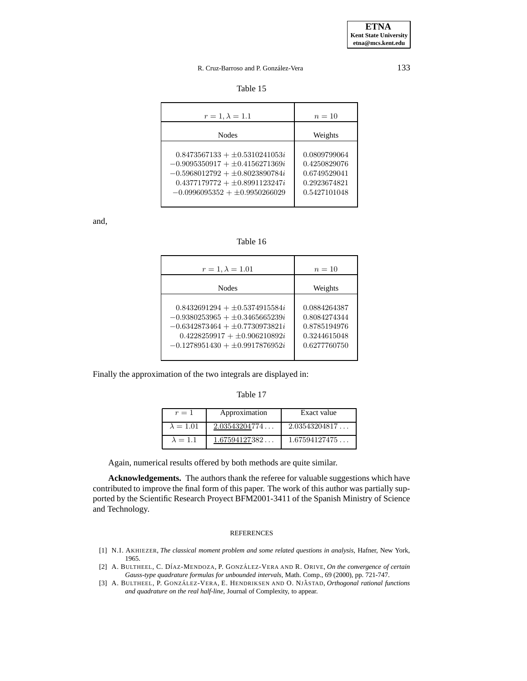Table 15

| $r = 1, \lambda = 1.1$                                                                                                                                                                       | $n=10$                                                                       |
|----------------------------------------------------------------------------------------------------------------------------------------------------------------------------------------------|------------------------------------------------------------------------------|
| <b>Nodes</b>                                                                                                                                                                                 | Weights                                                                      |
| $0.8473567133 + \pm 0.5310241053i$<br>$-0.9095350917 + \pm 0.4156271369i$<br>$-0.5968012792 + \pm 0.8023890784i$<br>$0.4377179772 + \pm 0.8991123247i$<br>$-0.0996095352 + \pm 0.9950266029$ | 0.0809799064<br>0.4250829076<br>0.6749529041<br>0.2923674821<br>0.5427101048 |

and,

## Table 16

| $r = 1, \lambda = 1.01$                                                                                                                                                                      | $n=10$                                                                       |
|----------------------------------------------------------------------------------------------------------------------------------------------------------------------------------------------|------------------------------------------------------------------------------|
| <b>Nodes</b>                                                                                                                                                                                 | Weights                                                                      |
| $0.8432691294 + \pm 0.5374915584i$<br>$-0.9380253965 + \pm 0.3465665239i$<br>$-0.6342873464 + \pm 0.7730973821i$<br>$0.4228259917 + \pm 0.906210892i$<br>$-0.1278951430 + \pm 0.9917876952i$ | 0.0884264387<br>0.8084274344<br>0.8785194976<br>0.3244615048<br>0.6277760750 |

Finally the approximation of the two integrals are displayed in:

### Table 17

| $r=1$            | Approximation | Exact value   |
|------------------|---------------|---------------|
| $\lambda = 1.01$ | 2.03543204774 | 2.03543204817 |
| $\lambda = 1.1$  | 1.67594127382 | 1.67594127475 |

Again, numerical results offered by both methods are quite similar.

**Acknowledgements.** The authors thank the referee for valuable suggestions which have contributed to improve the final form of this paper. The work of this author was partially supported by the Scientific Research Proyect BFM2001-3411 of the Spanish Ministry of Science and Technology.

#### REFERENCES

- <span id="page-20-2"></span>[1] N.I. AKHIEZER, *The classical moment problem and some related questions in analysis,* Hafner, New York, 1965.
- <span id="page-20-1"></span>[2] A. BULTHEEL, C. D´IAZ-MENDOZA, P. GONZA´ LEZ-VERA AND R. ORIVE, *On the convergence of certain Gauss-type quadrature formulas for unbounded intervals,* Math. Comp., 69 (2000), pp. 721-747.
- <span id="page-20-0"></span>[3] A. BULTHEEL, P. GONZÁLEZ-VERA, E. HENDRIKSEN AND O. NJÅSTAD, Orthogonal rational functions *and quadrature on the real half-line,* Journal of Complexity, to appear.